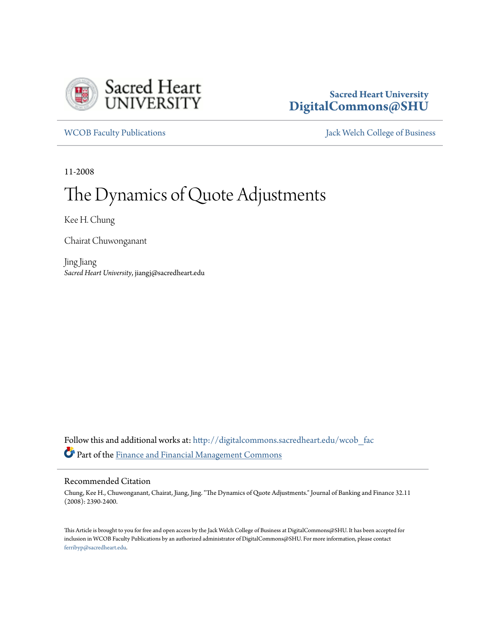

# **Sacred Heart University [DigitalCommons@SHU](http://digitalcommons.sacredheart.edu?utm_source=digitalcommons.sacredheart.edu%2Fwcob_fac%2F279&utm_medium=PDF&utm_campaign=PDFCoverPages)**

[WCOB Faculty Publications](http://digitalcommons.sacredheart.edu/wcob_fac?utm_source=digitalcommons.sacredheart.edu%2Fwcob_fac%2F279&utm_medium=PDF&utm_campaign=PDFCoverPages) **MECOB** Faculty Publications **Accord Publications** [Jack Welch College of Business](http://digitalcommons.sacredheart.edu/wcob?utm_source=digitalcommons.sacredheart.edu%2Fwcob_fac%2F279&utm_medium=PDF&utm_campaign=PDFCoverPages)

11-2008

# The Dynamics of Quote Adjustments

Kee H. Chung

Chairat Chuwonganant

Jing Jiang *Sacred Heart University*, jiangj@sacredheart.edu

Follow this and additional works at: [http://digitalcommons.sacredheart.edu/wcob\\_fac](http://digitalcommons.sacredheart.edu/wcob_fac?utm_source=digitalcommons.sacredheart.edu%2Fwcob_fac%2F279&utm_medium=PDF&utm_campaign=PDFCoverPages) Part of the [Finance and Financial Management Commons](http://network.bepress.com/hgg/discipline/631?utm_source=digitalcommons.sacredheart.edu%2Fwcob_fac%2F279&utm_medium=PDF&utm_campaign=PDFCoverPages)

#### Recommended Citation

Chung, Kee H., Chuwonganant, Chairat, Jiang, Jing. "The Dynamics of Quote Adjustments." Journal of Banking and Finance 32.11 (2008): 2390-2400.

This Article is brought to you for free and open access by the Jack Welch College of Business at DigitalCommons@SHU. It has been accepted for inclusion in WCOB Faculty Publications by an authorized administrator of DigitalCommons@SHU. For more information, please contact [ferribyp@sacredheart.edu](mailto:ferribyp@sacredheart.edu).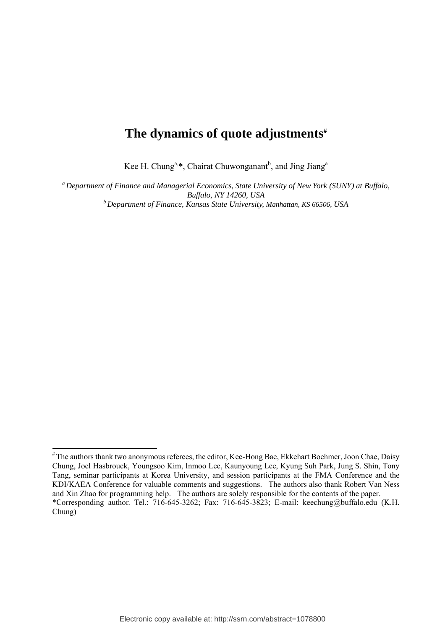# **The dynamics of quote adjustments#**

Kee H. Chung<sup>a,\*</sup>, Chairat Chuwonganant<sup>b</sup>, and Jing Jiang<sup>a</sup>

*a Department of Finance and Managerial Economics, State University of New York (SUNY) at Buffalo, Buffalo, NY 14260, USA b Department of Finance, Kansas State University, Manhattan, KS 66506, USA* 

-

<sup>#</sup> The authors thank two anonymous referees, the editor, Kee-Hong Bae, Ekkehart Boehmer, Joon Chae, Daisy Chung, Joel Hasbrouck, Youngsoo Kim, Inmoo Lee, Kaunyoung Lee, Kyung Suh Park, Jung S. Shin, Tony Tang, seminar participants at Korea University, and session participants at the FMA Conference and the KDI/KAEA Conference for valuable comments and suggestions. The authors also thank Robert Van Ness and Xin Zhao for programming help. The authors are solely responsible for the contents of the paper. \*Corresponding author. Tel.: 716-645-3262; Fax: 716-645-3823; E-mail: keechung@buffalo.edu (K.H. Chung)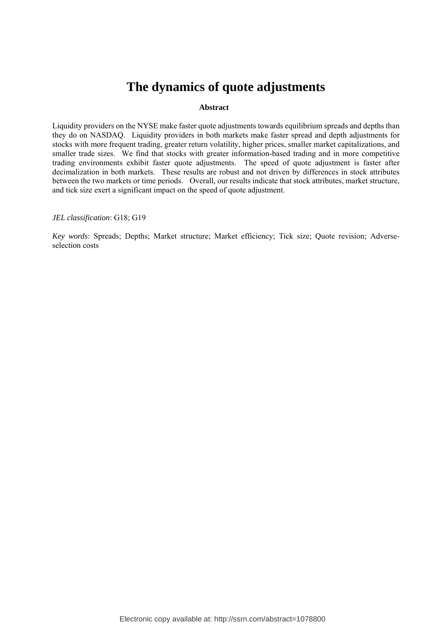# **The dynamics of quote adjustments**

#### **Abstract**

Liquidity providers on the NYSE make faster quote adjustments towards equilibrium spreads and depths than they do on NASDAQ. Liquidity providers in both markets make faster spread and depth adjustments for stocks with more frequent trading, greater return volatility, higher prices, smaller market capitalizations, and smaller trade sizes. We find that stocks with greater information-based trading and in more competitive trading environments exhibit faster quote adjustments. The speed of quote adjustment is faster after decimalization in both markets. These results are robust and not driven by differences in stock attributes between the two markets or time periods. Overall, our results indicate that stock attributes, market structure, and tick size exert a significant impact on the speed of quote adjustment.

#### *JEL classification*: G18; G19

*Key words*: Spreads; Depths; Market structure; Market efficiency; Tick size; Quote revision; Adverseselection costs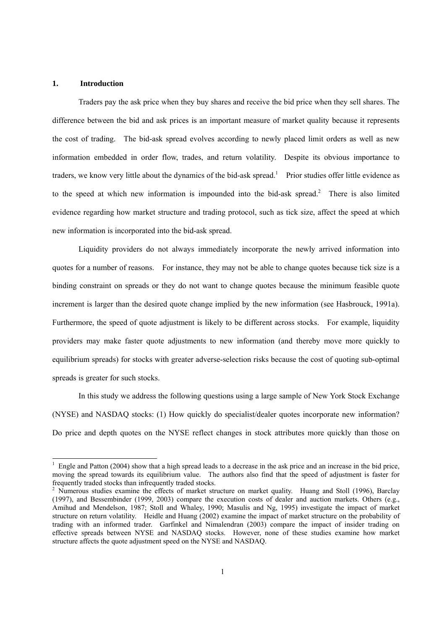#### **1. Introduction**

<u>.</u>

Traders pay the ask price when they buy shares and receive the bid price when they sell shares. The difference between the bid and ask prices is an important measure of market quality because it represents the cost of trading. The bid-ask spread evolves according to newly placed limit orders as well as new information embedded in order flow, trades, and return volatility. Despite its obvious importance to traders, we know very little about the dynamics of the bid-ask spread.<sup>1</sup> Prior studies offer little evidence as to the speed at which new information is impounded into the bid-ask spread.<sup>2</sup> There is also limited evidence regarding how market structure and trading protocol, such as tick size, affect the speed at which new information is incorporated into the bid-ask spread.

Liquidity providers do not always immediately incorporate the newly arrived information into quotes for a number of reasons. For instance, they may not be able to change quotes because tick size is a binding constraint on spreads or they do not want to change quotes because the minimum feasible quote increment is larger than the desired quote change implied by the new information (see Hasbrouck, 1991a). Furthermore, the speed of quote adjustment is likely to be different across stocks. For example, liquidity providers may make faster quote adjustments to new information (and thereby move more quickly to equilibrium spreads) for stocks with greater adverse-selection risks because the cost of quoting sub-optimal spreads is greater for such stocks.

In this study we address the following questions using a large sample of New York Stock Exchange (NYSE) and NASDAQ stocks: (1) How quickly do specialist/dealer quotes incorporate new information? Do price and depth quotes on the NYSE reflect changes in stock attributes more quickly than those on

 $1$  Engle and Patton (2004) show that a high spread leads to a decrease in the ask price and an increase in the bid price, moving the spread towards its equilibrium value. The authors also find that the speed of adjustment is faster for

frequently traded stocks than infrequently traded stocks. 2 Numerous studies examine the effects of market structure on market quality. Huang and Stoll (1996), Barclay (1997), and Bessembinder (1999, 2003) compare the execution costs of dealer and auction markets. Others (e.g., Amihud and Mendelson, 1987; Stoll and Whaley, 1990; Masulis and Ng, 1995) investigate the impact of market structure on return volatility. Heidle and Huang (2002) examine the impact of market structure on the probability of trading with an informed trader. Garfinkel and Nimalendran (2003) compare the impact of insider trading on effective spreads between NYSE and NASDAQ stocks. However, none of these studies examine how market structure affects the quote adjustment speed on the NYSE and NASDAQ.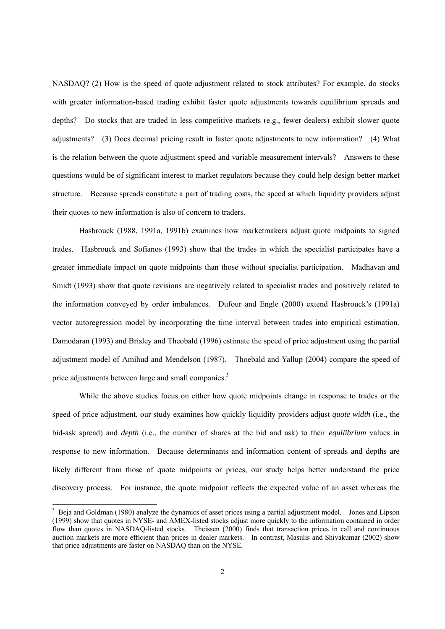NASDAQ? (2) How is the speed of quote adjustment related to stock attributes? For example, do stocks with greater information-based trading exhibit faster quote adjustments towards equilibrium spreads and depths? Do stocks that are traded in less competitive markets (e.g., fewer dealers) exhibit slower quote adjustments? (3) Does decimal pricing result in faster quote adjustments to new information? (4) What is the relation between the quote adjustment speed and variable measurement intervals? Answers to these questions would be of significant interest to market regulators because they could help design better market structure. Because spreads constitute a part of trading costs, the speed at which liquidity providers adjust their quotes to new information is also of concern to traders.

Hasbrouck (1988, 1991a, 1991b) examines how marketmakers adjust quote midpoints to signed trades. Hasbrouck and Sofianos (1993) show that the trades in which the specialist participates have a greater immediate impact on quote midpoints than those without specialist participation. Madhavan and Smidt (1993) show that quote revisions are negatively related to specialist trades and positively related to the information conveyed by order imbalances. Dufour and Engle (2000) extend Hasbrouck's (1991a) vector autoregression model by incorporating the time interval between trades into empirical estimation. Damodaran (1993) and Brisley and Theobald (1996) estimate the speed of price adjustment using the partial adjustment model of Amihud and Mendelson (1987). Thoebald and Yallup (2004) compare the speed of price adjustments between large and small companies.<sup>3</sup>

While the above studies focus on either how quote midpoints change in response to trades or the speed of price adjustment, our study examines how quickly liquidity providers adjust *quote width* (i.e., the bid-ask spread) and *depth* (i.e., the number of shares at the bid and ask) to their *equilibrium* values in response to new information. Because determinants and information content of spreads and depths are likely different from those of quote midpoints or prices, our study helps better understand the price discovery process. For instance, the quote midpoint reflects the expected value of an asset whereas the

-

 $3$  Beja and Goldman (1980) analyze the dynamics of asset prices using a partial adjustment model. Jones and Lipson (1999) show that quotes in NYSE- and AMEX-listed stocks adjust more quickly to the information contained in order flow than quotes in NASDAQ-listed stocks. Theissen (2000) finds that transaction prices in call and continuous auction markets are more efficient than prices in dealer markets. In contrast, Masulis and Shivakumar (2002) show that price adjustments are faster on NASDAQ than on the NYSE.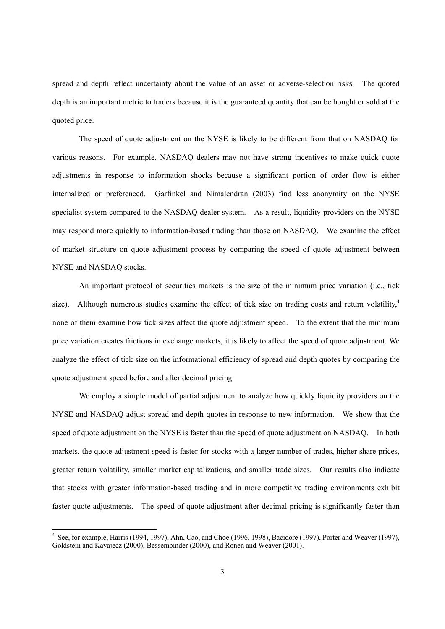spread and depth reflect uncertainty about the value of an asset or adverse-selection risks. The quoted depth is an important metric to traders because it is the guaranteed quantity that can be bought or sold at the quoted price.

 The speed of quote adjustment on the NYSE is likely to be different from that on NASDAQ for various reasons. For example, NASDAQ dealers may not have strong incentives to make quick quote adjustments in response to information shocks because a significant portion of order flow is either internalized or preferenced. Garfinkel and Nimalendran (2003) find less anonymity on the NYSE specialist system compared to the NASDAQ dealer system. As a result, liquidity providers on the NYSE may respond more quickly to information-based trading than those on NASDAQ. We examine the effect of market structure on quote adjustment process by comparing the speed of quote adjustment between NYSE and NASDAQ stocks.

 An important protocol of securities markets is the size of the minimum price variation (i.e., tick size). Although numerous studies examine the effect of tick size on trading costs and return volatility,<sup>4</sup> none of them examine how tick sizes affect the quote adjustment speed. To the extent that the minimum price variation creates frictions in exchange markets, it is likely to affect the speed of quote adjustment. We analyze the effect of tick size on the informational efficiency of spread and depth quotes by comparing the quote adjustment speed before and after decimal pricing.

We employ a simple model of partial adjustment to analyze how quickly liquidity providers on the NYSE and NASDAQ adjust spread and depth quotes in response to new information. We show that the speed of quote adjustment on the NYSE is faster than the speed of quote adjustment on NASDAQ. In both markets, the quote adjustment speed is faster for stocks with a larger number of trades, higher share prices, greater return volatility, smaller market capitalizations, and smaller trade sizes. Our results also indicate that stocks with greater information-based trading and in more competitive trading environments exhibit faster quote adjustments. The speed of quote adjustment after decimal pricing is significantly faster than

-

 $4$  See, for example, Harris (1994, 1997), Ahn, Cao, and Choe (1996, 1998), Bacidore (1997), Porter and Weaver (1997), Goldstein and Kavajecz (2000), Bessembinder (2000), and Ronen and Weaver (2001).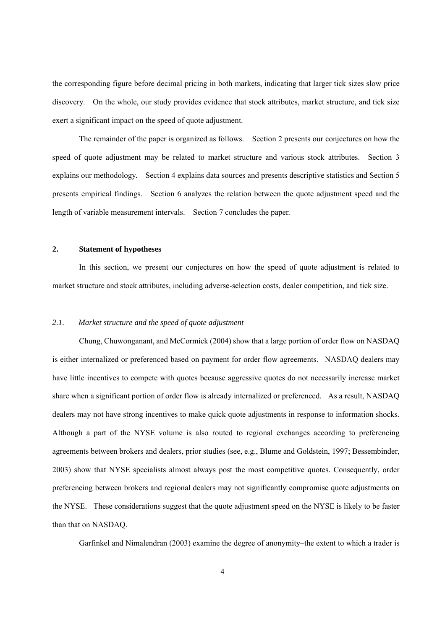the corresponding figure before decimal pricing in both markets, indicating that larger tick sizes slow price discovery. On the whole, our study provides evidence that stock attributes, market structure, and tick size exert a significant impact on the speed of quote adjustment.

 The remainder of the paper is organized as follows. Section 2 presents our conjectures on how the speed of quote adjustment may be related to market structure and various stock attributes. Section 3 explains our methodology. Section 4 explains data sources and presents descriptive statistics and Section 5 presents empirical findings. Section 6 analyzes the relation between the quote adjustment speed and the length of variable measurement intervals. Section 7 concludes the paper.

#### **2. Statement of hypotheses**

In this section, we present our conjectures on how the speed of quote adjustment is related to market structure and stock attributes, including adverse-selection costs, dealer competition, and tick size.

#### *2.1. Market structure and the speed of quote adjustment*

 Chung, Chuwonganant, and McCormick (2004) show that a large portion of order flow on NASDAQ is either internalized or preferenced based on payment for order flow agreements. NASDAQ dealers may have little incentives to compete with quotes because aggressive quotes do not necessarily increase market share when a significant portion of order flow is already internalized or preferenced. As a result, NASDAQ dealers may not have strong incentives to make quick quote adjustments in response to information shocks. Although a part of the NYSE volume is also routed to regional exchanges according to preferencing agreements between brokers and dealers, prior studies (see, e.g., Blume and Goldstein, 1997; Bessembinder, 2003) show that NYSE specialists almost always post the most competitive quotes. Consequently, order preferencing between brokers and regional dealers may not significantly compromise quote adjustments on the NYSE. These considerations suggest that the quote adjustment speed on the NYSE is likely to be faster than that on NASDAQ.

Garfinkel and Nimalendran (2003) examine the degree of anonymity–the extent to which a trader is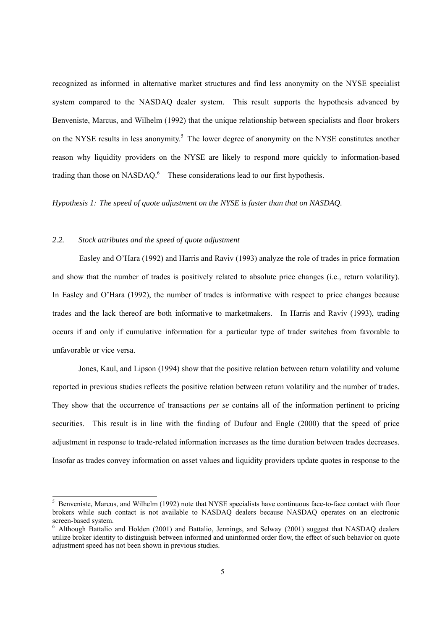recognized as informed–in alternative market structures and find less anonymity on the NYSE specialist system compared to the NASDAQ dealer system. This result supports the hypothesis advanced by Benveniste, Marcus, and Wilhelm (1992) that the unique relationship between specialists and floor brokers on the NYSE results in less anonymity.<sup>5</sup> The lower degree of anonymity on the NYSE constitutes another reason why liquidity providers on the NYSE are likely to respond more quickly to information-based trading than those on NASDAQ.<sup>6</sup> These considerations lead to our first hypothesis.

*Hypothesis 1: The speed of quote adjustment on the NYSE is faster than that on NASDAQ.* 

#### *2.2. Stock attributes and the speed of quote adjustment*

-

 Easley and O'Hara (1992) and Harris and Raviv (1993) analyze the role of trades in price formation and show that the number of trades is positively related to absolute price changes (i.e., return volatility). In Easley and O'Hara (1992), the number of trades is informative with respect to price changes because trades and the lack thereof are both informative to marketmakers. In Harris and Raviv (1993), trading occurs if and only if cumulative information for a particular type of trader switches from favorable to unfavorable or vice versa.

Jones, Kaul, and Lipson (1994) show that the positive relation between return volatility and volume reported in previous studies reflects the positive relation between return volatility and the number of trades. They show that the occurrence of transactions *per se* contains all of the information pertinent to pricing securities. This result is in line with the finding of Dufour and Engle (2000) that the speed of price adjustment in response to trade-related information increases as the time duration between trades decreases. Insofar as trades convey information on asset values and liquidity providers update quotes in response to the

<sup>&</sup>lt;sup>5</sup> Benveniste, Marcus, and Wilhelm (1992) note that NYSE specialists have continuous face-to-face contact with floor brokers while such contact is not available to NASDAQ dealers because NASDAQ operates on an electronic screen-based system.

<sup>&</sup>lt;sup>6</sup> Although Battalio and Holden (2001) and Battalio, Jennings, and Selway (2001) suggest that NASDAQ dealers utilize broker identity to distinguish between informed and uninformed order flow, the effect of such behavior on quote adjustment speed has not been shown in previous studies.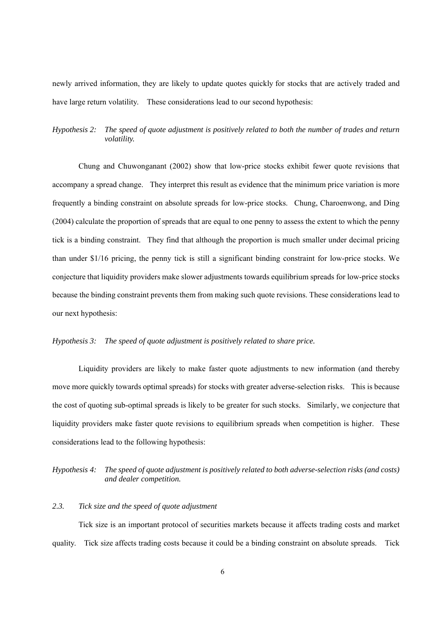newly arrived information, they are likely to update quotes quickly for stocks that are actively traded and have large return volatility. These considerations lead to our second hypothesis:

#### *Hypothesis 2: The speed of quote adjustment is positively related to both the number of trades and return volatility.*

Chung and Chuwonganant (2002) show that low-price stocks exhibit fewer quote revisions that accompany a spread change. They interpret this result as evidence that the minimum price variation is more frequently a binding constraint on absolute spreads for low-price stocks. Chung, Charoenwong, and Ding (2004) calculate the proportion of spreads that are equal to one penny to assess the extent to which the penny tick is a binding constraint. They find that although the proportion is much smaller under decimal pricing than under \$1/16 pricing, the penny tick is still a significant binding constraint for low-price stocks. We conjecture that liquidity providers make slower adjustments towards equilibrium spreads for low-price stocks because the binding constraint prevents them from making such quote revisions. These considerations lead to our next hypothesis:

#### *Hypothesis 3: The speed of quote adjustment is positively related to share price.*

Liquidity providers are likely to make faster quote adjustments to new information (and thereby move more quickly towards optimal spreads) for stocks with greater adverse-selection risks. This is because the cost of quoting sub-optimal spreads is likely to be greater for such stocks. Similarly, we conjecture that liquidity providers make faster quote revisions to equilibrium spreads when competition is higher. These considerations lead to the following hypothesis:

#### *Hypothesis 4: The speed of quote adjustment is positively related to both adverse-selection risks (and costs) and dealer competition.*

#### *2.3. Tick size and the speed of quote adjustment*

 Tick size is an important protocol of securities markets because it affects trading costs and market quality. Tick size affects trading costs because it could be a binding constraint on absolute spreads. Tick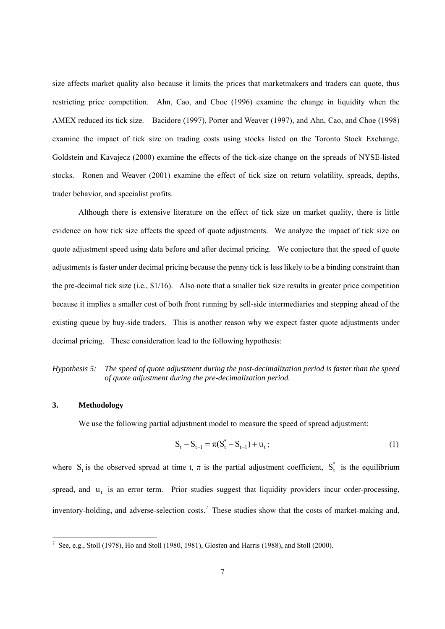size affects market quality also because it limits the prices that marketmakers and traders can quote, thus restricting price competition. Ahn, Cao, and Choe (1996) examine the change in liquidity when the AMEX reduced its tick size. Bacidore (1997), Porter and Weaver (1997), and Ahn, Cao, and Choe (1998) examine the impact of tick size on trading costs using stocks listed on the Toronto Stock Exchange. Goldstein and Kavajecz (2000) examine the effects of the tick-size change on the spreads of NYSE-listed stocks. Ronen and Weaver (2001) examine the effect of tick size on return volatility, spreads, depths, trader behavior, and specialist profits.

 Although there is extensive literature on the effect of tick size on market quality, there is little evidence on how tick size affects the speed of quote adjustments. We analyze the impact of tick size on quote adjustment speed using data before and after decimal pricing. We conjecture that the speed of quote adjustments is faster under decimal pricing because the penny tick is less likely to be a binding constraint than the pre-decimal tick size (i.e., \$1/16). Also note that a smaller tick size results in greater price competition because it implies a smaller cost of both front running by sell-side intermediaries and stepping ahead of the existing queue by buy-side traders. This is another reason why we expect faster quote adjustments under decimal pricing. These consideration lead to the following hypothesis:

#### *Hypothesis 5: The speed of quote adjustment during the post-decimalization period is faster than the speed of quote adjustment during the pre-decimalization period.*

#### **3. Methodology**

We use the following partial adjustment model to measure the speed of spread adjustment:

$$
S_{t} - S_{t-1} = \pi (S_{t}^{*} - S_{t-1}) + u_{t};
$$
\n(1)

where  $S_t$  is the observed spread at time t,  $\pi$  is the partial adjustment coefficient,  $S_t^*$  is the equilibrium spread, and u<sub>t</sub> is an error term. Prior studies suggest that liquidity providers incur order-processing, inventory-holding, and adverse-selection costs.<sup>7</sup> These studies show that the costs of market-making and,

 $\frac{1}{7}$  See, e.g., Stoll (1978), Ho and Stoll (1980, 1981), Glosten and Harris (1988), and Stoll (2000).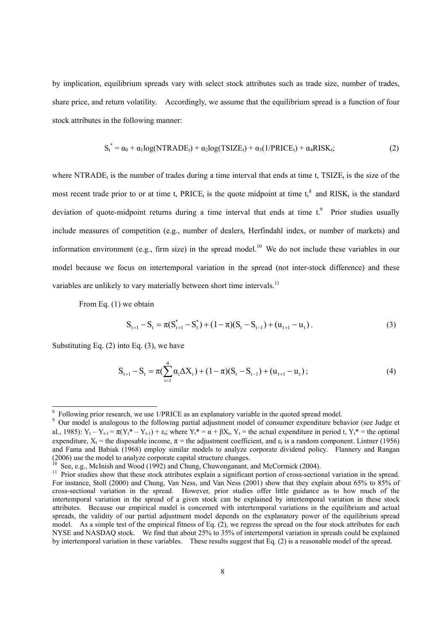by implication, equilibrium spreads vary with select stock attributes such as trade size, number of trades, share price, and return volatility. Accordingly, we assume that the equilibrium spread is a function of four stock attributes in the following manner:

$$
S_t^* = \alpha_0 + \alpha_1 \log(NTRADE_t) + \alpha_2 \log(TSIZE_t) + \alpha_3 (1/PRICE_t) + \alpha_4 RISK_t; \qquad (2)
$$

where NTRADE<sub>t</sub> is the number of trades during a time interval that ends at time t,  $TSIZE_t$  is the size of the most recent trade prior to or at time t, PRICE<sub>t</sub> is the quote midpoint at time  $t$ ,<sup>8</sup> and RISK<sub>t</sub> is the standard deviation of quote-midpoint returns during a time interval that ends at time  $t$ <sup>9</sup>. Prior studies usually include measures of competition (e.g., number of dealers, Herfindahl index, or number of markets) and information environment (e.g., firm size) in the spread model.<sup>10</sup> We do not include these variables in our model because we focus on intertemporal variation in the spread (not inter-stock difference) and these variables are unlikely to vary materially between short time intervals.<sup>11</sup>

From Eq. (1) we obtain

$$
S_{t+1} - S_t = \pi (S_{t+1}^* - S_t^*) + (1 - \pi) (S_t - S_{t-1}) + (u_{t+1} - u_t).
$$
\n(3)

Substituting Eq.  $(2)$  into Eq.  $(3)$ , we have

$$
S_{t+1} - S_t = \pi \left( \sum_{i=1}^4 \alpha_i \Delta X_i \right) + (1 - \pi) \left( S_t - S_{t-1} \right) + \left( u_{t+1} - u_t \right); \tag{4}
$$

<sup>&</sup>lt;sup>8</sup> Following prior research, we use 1/PRICE as an explanatory variable in the quoted spread model.

<sup>&</sup>lt;sup>9</sup> Our model is analogous to the following partial adjustment model of consumer expenditure behavior (see Judge et al., 1985):  $Y_t - Y_{t-1} = \pi (Y_t^* - Y_{t-1}) + \varepsilon_t$ ; where  $Y_t^* = \alpha + \beta X_t$ ,  $Y_t$  = the actual expenditure in period t,  $Y_t^*$  = the optimal expenditure,  $X_t$  = the disposable income,  $\pi$  = the adjustment coefficient, and  $\varepsilon_t$  is a random component. Lintner (1956) and Fama and Babiak (1968) employ similar models to analyze corporate dividend policy. Flannery and Rangan (2006) use the model to analyze corporate capital structure changes.

 $10$  See, e.g., McInish and Wood (1992) and Chung, Chuwonganant, and McCormick (2004).

<sup>&</sup>lt;sup>11</sup> Prior studies show that these stock attributes explain a significant portion of cross-sectional variation in the spread. For instance, Stoll (2000) and Chung, Van Ness, and Van Ness (2001) show that they explain about 65% to 85% of cross-sectional variation in the spread. However, prior studies offer little guidance as to how much of the intertemporal variation in the spread of a given stock can be explained by intertemporal variation in these stock attributes. Because our empirical model is concerned with intertemporal variations in the equilibrium and actual spreads, the validity of our partial adjustment model depends on the explanatory power of the equilibrium spread model. As a simple test of the empirical fitness of Eq. (2), we regress the spread on the four stock attributes for each NYSE and NASDAQ stock. We find that about 25% to 35% of intertemporal variation in spreads could be explained by intertemporal variation in these variables. These results suggest that Eq. (2) is a reasonable model of the spread.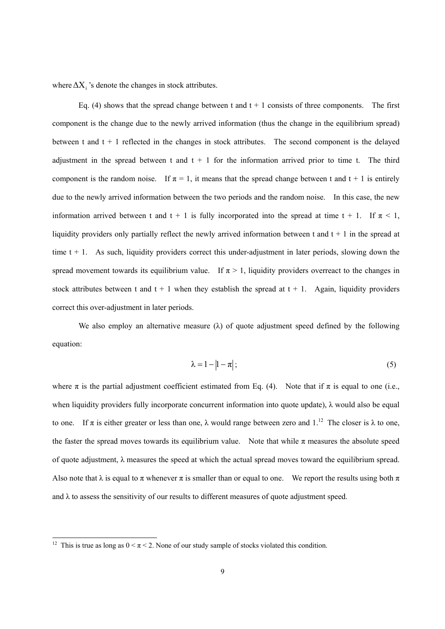where  $\Delta X_i$  's denote the changes in stock attributes.

Eq. (4) shows that the spread change between t and  $t + 1$  consists of three components. The first component is the change due to the newly arrived information (thus the change in the equilibrium spread) between t and  $t + 1$  reflected in the changes in stock attributes. The second component is the delayed adjustment in the spread between t and  $t + 1$  for the information arrived prior to time t. The third component is the random noise. If  $\pi = 1$ , it means that the spread change between t and  $t + 1$  is entirely due to the newly arrived information between the two periods and the random noise. In this case, the new information arrived between t and  $t + 1$  is fully incorporated into the spread at time  $t + 1$ . If  $\pi < 1$ , liquidity providers only partially reflect the newly arrived information between t and  $t + 1$  in the spread at time  $t + 1$ . As such, liquidity providers correct this under-adjustment in later periods, slowing down the spread movement towards its equilibrium value. If  $\pi > 1$ , liquidity providers overreact to the changes in stock attributes between t and  $t + 1$  when they establish the spread at  $t + 1$ . Again, liquidity providers correct this over-adjustment in later periods.

We also employ an alternative measure  $(\lambda)$  of quote adjustment speed defined by the following equation:

$$
\lambda = 1 - |1 - \pi| \tag{5}
$$

where  $\pi$  is the partial adjustment coefficient estimated from Eq. (4). Note that if  $\pi$  is equal to one (i.e., when liquidity providers fully incorporate concurrent information into quote update),  $\lambda$  would also be equal to one. If  $\pi$  is either greater or less than one,  $\lambda$  would range between zero and  $1^{12}$ . The closer is  $\lambda$  to one, the faster the spread moves towards its equilibrium value. Note that while  $\pi$  measures the absolute speed of quote adjustment,  $\lambda$  measures the speed at which the actual spread moves toward the equilibrium spread. Also note that  $\lambda$  is equal to  $\pi$  whenever  $\pi$  is smaller than or equal to one. We report the results using both  $\pi$ and  $\lambda$  to assess the sensitivity of our results to different measures of quote adjustment speed.

<u>.</u>

<sup>&</sup>lt;sup>12</sup> This is true as long as  $0 \le \pi \le 2$ . None of our study sample of stocks violated this condition.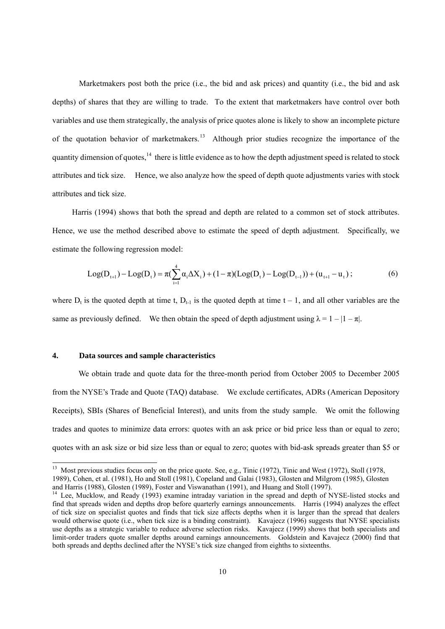Marketmakers post both the price (i.e., the bid and ask prices) and quantity (i.e., the bid and ask depths) of shares that they are willing to trade. To the extent that marketmakers have control over both variables and use them strategically, the analysis of price quotes alone is likely to show an incomplete picture of the quotation behavior of marketmakers.<sup>13</sup> Although prior studies recognize the importance of the quantity dimension of quotes, $14$  there is little evidence as to how the depth adjustment speed is related to stock attributes and tick size. Hence, we also analyze how the speed of depth quote adjustments varies with stock attributes and tick size.

 Harris (1994) shows that both the spread and depth are related to a common set of stock attributes. Hence, we use the method described above to estimate the speed of depth adjustment. Specifically, we estimate the following regression model:

Log(D<sub>t+1</sub>) - Log(D<sub>t</sub>) = 
$$
\pi(\sum_{i=1}^{4} \alpha_i \Delta X_i) + (1 - \pi)(Log(D_t) - Log(D_{t-1})) + (u_{t+1} - u_t);
$$
 (6)

where  $D_t$  is the quoted depth at time t,  $D_{t-1}$  is the quoted depth at time t – 1, and all other variables are the same as previously defined. We then obtain the speed of depth adjustment using  $\lambda = 1 - |1 - \pi|$ .

#### **4. Data sources and sample characteristics**

-

We obtain trade and quote data for the three-month period from October 2005 to December 2005 from the NYSE's Trade and Quote (TAQ) database. We exclude certificates, ADRs (American Depository Receipts), SBIs (Shares of Beneficial Interest), and units from the study sample. We omit the following trades and quotes to minimize data errors: quotes with an ask price or bid price less than or equal to zero; quotes with an ask size or bid size less than or equal to zero; quotes with bid-ask spreads greater than \$5 or

<sup>&</sup>lt;sup>13</sup> Most previous studies focus only on the price quote. See, e.g., Tinic (1972), Tinic and West (1972), Stoll (1978, 1989), Cohen, et al. (1981), Ho and Stoll (1981), Copeland and Galai (1983), Glosten and Milgrom (1985), Glosten and Harris (1988), Glosten (1989), Foster and Viswanathan (1991), and Huang and Stoll (1997).

<sup>&</sup>lt;sup>14</sup> Lee, Mucklow, and Ready (1993) examine intraday variation in the spread and depth of NYSE-listed stocks and find that spreads widen and depths drop before quarterly earnings announcements. Harris (1994) analyzes the effect of tick size on specialist quotes and finds that tick size affects depths when it is larger than the spread that dealers would otherwise quote (i.e., when tick size is a binding constraint). Kavajecz (1996) suggests that NYSE specialists use depths as a strategic variable to reduce adverse selection risks. Kavajecz (1999) shows that both specialists and limit-order traders quote smaller depths around earnings announcements. Goldstein and Kavajecz (2000) find that both spreads and depths declined after the NYSE's tick size changed from eighths to sixteenths.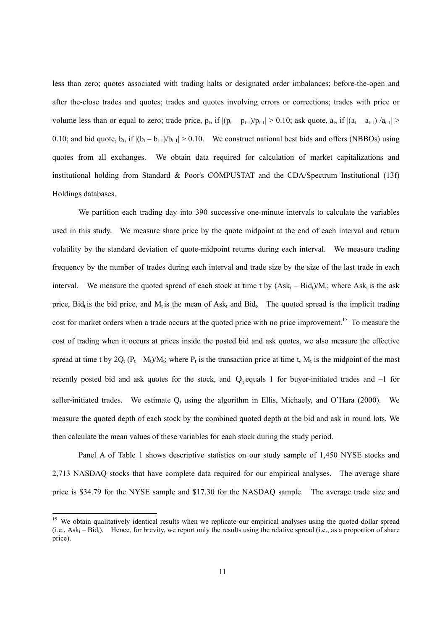less than zero; quotes associated with trading halts or designated order imbalances; before-the-open and after the-close trades and quotes; trades and quotes involving errors or corrections; trades with price or volume less than or equal to zero; trade price,  $p_t$ , if  $|(p_t - p_{t-1})/p_{t-1}| > 0.10$ ; ask quote,  $a_t$ , if  $|(a_t - a_{t-1})/a_{t-1}| >$ 0.10; and bid quote,  $b_t$ , if  $|(b_t - b_{t-1})/b_{t-1}| > 0.10$ . We construct national best bids and offers (NBBOs) using quotes from all exchanges. We obtain data required for calculation of market capitalizations and institutional holding from Standard & Poor's COMPUSTAT and the CDA/Spectrum Institutional (13f) Holdings databases.

We partition each trading day into 390 successive one-minute intervals to calculate the variables used in this study. We measure share price by the quote midpoint at the end of each interval and return volatility by the standard deviation of quote-midpoint returns during each interval. We measure trading frequency by the number of trades during each interval and trade size by the size of the last trade in each interval. We measure the quoted spread of each stock at time t by  $(Ask_t - Bid_t)/M_t$ ; where Ask<sub>t</sub> is the ask price, Bid<sub>t</sub> is the bid price, and  $M_t$  is the mean of Ask<sub>t</sub> and Bid<sub>t</sub>. The quoted spread is the implicit trading cost for market orders when a trade occurs at the quoted price with no price improvement.<sup>15</sup> To measure the cost of trading when it occurs at prices inside the posted bid and ask quotes, we also measure the effective spread at time t by 2Q<sub>t</sub> (P<sub>t</sub> – M<sub>t</sub>)/M<sub>t</sub>; where P<sub>t</sub> is the transaction price at time t, M<sub>t</sub> is the midpoint of the most recently posted bid and ask quotes for the stock, and  $Q_t$  equals 1 for buyer-initiated trades and  $-1$  for seller-initiated trades. We estimate  $Q_t$  using the algorithm in Ellis, Michaely, and O'Hara (2000). We measure the quoted depth of each stock by the combined quoted depth at the bid and ask in round lots. We then calculate the mean values of these variables for each stock during the study period.

Panel A of Table 1 shows descriptive statistics on our study sample of 1,450 NYSE stocks and 2,713 NASDAQ stocks that have complete data required for our empirical analyses. The average share price is \$34.79 for the NYSE sample and \$17.30 for the NASDAQ sample. The average trade size and

-

<sup>&</sup>lt;sup>15</sup> We obtain qualitatively identical results when we replicate our empirical analyses using the quoted dollar spread  $(i.e., Ask_t - Bid_t)$ . Hence, for brevity, we report only the results using the relative spread (i.e., as a proportion of share price).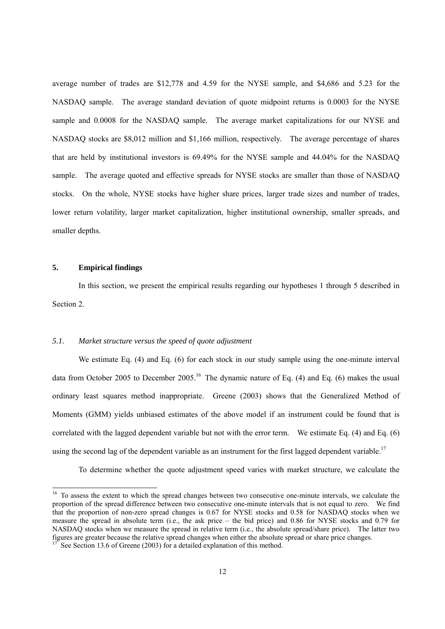average number of trades are \$12,778 and 4.59 for the NYSE sample, and \$4,686 and 5.23 for the NASDAQ sample. The average standard deviation of quote midpoint returns is 0.0003 for the NYSE sample and 0.0008 for the NASDAQ sample. The average market capitalizations for our NYSE and NASDAQ stocks are \$8,012 million and \$1,166 million, respectively. The average percentage of shares that are held by institutional investors is 69.49% for the NYSE sample and 44.04% for the NASDAQ sample. The average quoted and effective spreads for NYSE stocks are smaller than those of NASDAQ stocks. On the whole, NYSE stocks have higher share prices, larger trade sizes and number of trades, lower return volatility, larger market capitalization, higher institutional ownership, smaller spreads, and smaller depths.

#### **5. Empirical findings**

<u>.</u>

In this section, we present the empirical results regarding our hypotheses 1 through 5 described in Section 2.

#### *5.1. Market structure versus the speed of quote adjustment*

We estimate Eq. (4) and Eq. (6) for each stock in our study sample using the one-minute interval data from October 2005 to December 2005.<sup>16</sup> The dynamic nature of Eq. (4) and Eq. (6) makes the usual ordinary least squares method inappropriate. Greene (2003) shows that the Generalized Method of Moments (GMM) yields unbiased estimates of the above model if an instrument could be found that is correlated with the lagged dependent variable but not with the error term. We estimate Eq. (4) and Eq. (6) using the second lag of the dependent variable as an instrument for the first lagged dependent variable.<sup>17</sup>

To determine whether the quote adjustment speed varies with market structure, we calculate the

<sup>&</sup>lt;sup>16</sup> To assess the extent to which the spread changes between two consecutive one-minute intervals, we calculate the proportion of the spread difference between two consecutive one-minute intervals that is not equal to zero. We find that the proportion of non-zero spread changes is 0.67 for NYSE stocks and 0.58 for NASDAQ stocks when we measure the spread in absolute term (i.e., the ask price – the bid price) and 0.86 for NYSE stocks and 0.79 for NASDAQ stocks when we measure the spread in relative term (i.e., the absolute spread/share price). The latter two figures are greater because the relative spread changes when either the absolute spread or share price changes. See Section 13.6 of Greene  $(2003)$  for a detailed explanation of this method.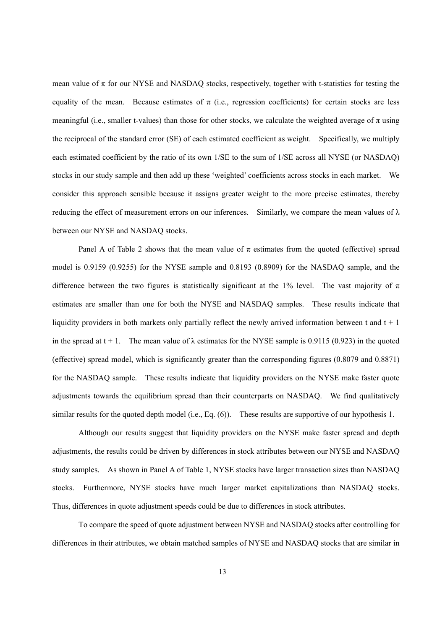mean value of  $\pi$  for our NYSE and NASDAQ stocks, respectively, together with t-statistics for testing the equality of the mean. Because estimates of  $\pi$  (i.e., regression coefficients) for certain stocks are less meaningful (i.e., smaller t-values) than those for other stocks, we calculate the weighted average of  $\pi$  using the reciprocal of the standard error (SE) of each estimated coefficient as weight. Specifically, we multiply each estimated coefficient by the ratio of its own 1/SE to the sum of 1/SE across all NYSE (or NASDAQ) stocks in our study sample and then add up these 'weighted' coefficients across stocks in each market. We consider this approach sensible because it assigns greater weight to the more precise estimates, thereby reducing the effect of measurement errors on our inferences. Similarly, we compare the mean values of  $\lambda$ between our NYSE and NASDAQ stocks.

Panel A of Table 2 shows that the mean value of  $\pi$  estimates from the quoted (effective) spread model is 0.9159 (0.9255) for the NYSE sample and 0.8193 (0.8909) for the NASDAQ sample, and the difference between the two figures is statistically significant at the 1% level. The vast majority of  $\pi$ estimates are smaller than one for both the NYSE and NASDAQ samples. These results indicate that liquidity providers in both markets only partially reflect the newly arrived information between t and  $t + 1$ in the spread at  $t + 1$ . The mean value of  $\lambda$  estimates for the NYSE sample is 0.9115 (0.923) in the quoted (effective) spread model, which is significantly greater than the corresponding figures (0.8079 and 0.8871) for the NASDAQ sample. These results indicate that liquidity providers on the NYSE make faster quote adjustments towards the equilibrium spread than their counterparts on NASDAQ. We find qualitatively similar results for the quoted depth model (i.e., Eq. (6)). These results are supportive of our hypothesis 1.

Although our results suggest that liquidity providers on the NYSE make faster spread and depth adjustments, the results could be driven by differences in stock attributes between our NYSE and NASDAQ study samples. As shown in Panel A of Table 1, NYSE stocks have larger transaction sizes than NASDAQ stocks. Furthermore, NYSE stocks have much larger market capitalizations than NASDAQ stocks. Thus, differences in quote adjustment speeds could be due to differences in stock attributes.

To compare the speed of quote adjustment between NYSE and NASDAQ stocks after controlling for differences in their attributes, we obtain matched samples of NYSE and NASDAQ stocks that are similar in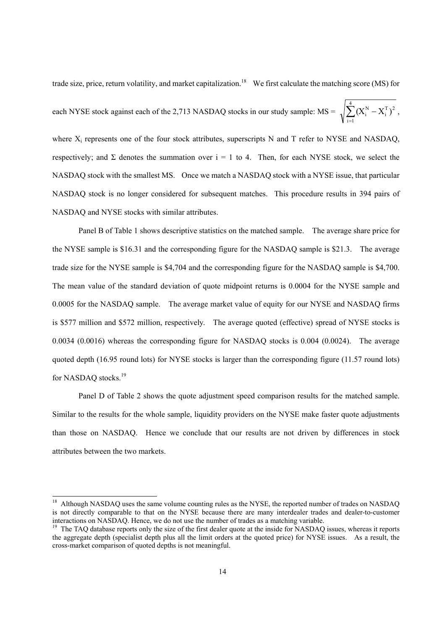trade size, price, return volatility, and market capitalization.<sup>18</sup> We first calculate the matching score (MS) for

each NYSE stock against each of the 2,713 NASDAQ stocks in our study sample: MS =  $\sqrt{\sum (X_i^N - X_i^T)^2}$ N i 4  $\sum_{i=1} (X_i^N - X_i^T)^2$ ,

where  $X_i$  represents one of the four stock attributes, superscripts N and T refer to NYSE and NASDAQ, respectively; and  $\Sigma$  denotes the summation over  $i = 1$  to 4. Then, for each NYSE stock, we select the NASDAQ stock with the smallest MS. Once we match a NASDAQ stock with a NYSE issue, that particular NASDAQ stock is no longer considered for subsequent matches. This procedure results in 394 pairs of NASDAQ and NYSE stocks with similar attributes.

Panel B of Table 1 shows descriptive statistics on the matched sample. The average share price for the NYSE sample is \$16.31 and the corresponding figure for the NASDAQ sample is \$21.3. The average trade size for the NYSE sample is \$4,704 and the corresponding figure for the NASDAQ sample is \$4,700. The mean value of the standard deviation of quote midpoint returns is 0.0004 for the NYSE sample and 0.0005 for the NASDAQ sample. The average market value of equity for our NYSE and NASDAQ firms is \$577 million and \$572 million, respectively. The average quoted (effective) spread of NYSE stocks is 0.0034 (0.0016) whereas the corresponding figure for NASDAQ stocks is 0.004 (0.0024). The average quoted depth (16.95 round lots) for NYSE stocks is larger than the corresponding figure (11.57 round lots) for NASDAQ stocks.<sup>19</sup>

Panel D of Table 2 shows the quote adjustment speed comparison results for the matched sample. Similar to the results for the whole sample, liquidity providers on the NYSE make faster quote adjustments than those on NASDAQ. Hence we conclude that our results are not driven by differences in stock attributes between the two markets.

-

 $18$  Although NASDAQ uses the same volume counting rules as the NYSE, the reported number of trades on NASDAQ is not directly comparable to that on the NYSE because there are many interdealer trades and dealer-to-customer interactions on NASDAQ. Hence, we do not use the number of trades as a matching variable.

<sup>&</sup>lt;sup>19</sup> The TAQ database reports only the size of the first dealer quote at the inside for NASDAQ issues, whereas it reports the aggregate depth (specialist depth plus all the limit orders at the quoted price) for NYSE issues. As a result, the cross-market comparison of quoted depths is not meaningful.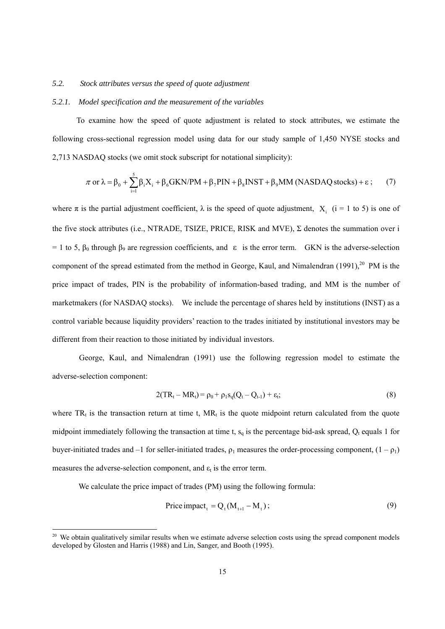#### *5.2. Stock attributes versus the speed of quote adjustment*

#### *5.2.1. Model specification and the measurement of the variables*

 To examine how the speed of quote adjustment is related to stock attributes, we estimate the following cross-sectional regression model using data for our study sample of 1,450 NYSE stocks and 2,713 NASDAQ stocks (we omit stock subscript for notational simplicity):

$$
\pi \text{ or } \lambda = \beta_0 + \sum_{i=1}^{5} \beta_i X_i + \beta_6 \text{GKN/PM} + \beta_7 \text{PIN} + \beta_8 \text{INST} + \beta_9 \text{MM (NASDAQ stocks)} + \epsilon \tag{7}
$$

where  $\pi$  is the partial adjustment coefficient,  $\lambda$  is the speed of quote adjustment,  $X_i$  (i = 1 to 5) is one of the five stock attributes (i.e., NTRADE, TSIZE, PRICE, RISK and MVE), Σ denotes the summation over i = 1 to 5,  $\beta_0$  through  $\beta_9$  are regression coefficients, and  $\varepsilon$  is the error term. GKN is the adverse-selection component of the spread estimated from the method in George, Kaul, and Nimalendran (1991),<sup>20</sup> PM is the price impact of trades, PIN is the probability of information-based trading, and MM is the number of marketmakers (for NASDAQ stocks). We include the percentage of shares held by institutions (INST) as a control variable because liquidity providers' reaction to the trades initiated by institutional investors may be different from their reaction to those initiated by individual investors.

 George, Kaul, and Nimalendran (1991) use the following regression model to estimate the adverse-selection component:

$$
2(\text{TR}_{t} - \text{MR}_{t}) = \rho_0 + \rho_1 s_q (Q_t - Q_{t-1}) + \varepsilon_t; \tag{8}
$$

where  $TR_t$  is the transaction return at time t,  $MR_t$  is the quote midpoint return calculated from the quote midpoint immediately following the transaction at time t,  $s_q$  is the percentage bid-ask spread,  $Q_t$  equals 1 for buyer-initiated trades and –1 for seller-initiated trades,  $\rho_1$  measures the order-processing component,  $(1 - \rho_1)$ measures the adverse-selection component, and  $\varepsilon_t$  is the error term.

We calculate the price impact of trades (PM) using the following formula:

-

$$
Price impactt = Qt(Mt+1 - Mt);
$$
\n(9)

<sup>&</sup>lt;sup>20</sup> We obtain qualitatively similar results when we estimate adverse selection costs using the spread component models developed by Glosten and Harris (1988) and Lin, Sanger, and Booth (1995).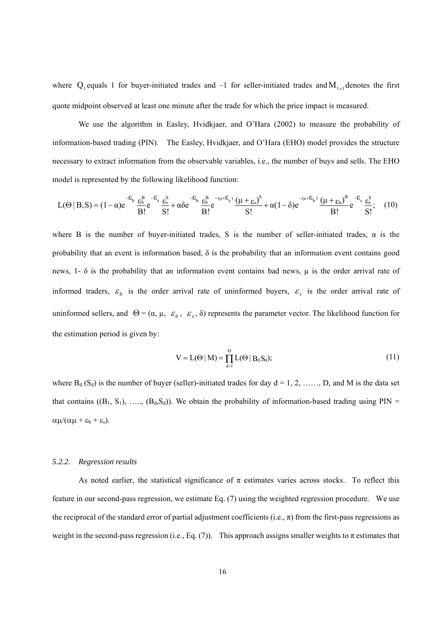where  $Q_t$  equals 1 for buyer-initiated trades and  $-1$  for seller-initiated trades and  $M_{t+1}$  denotes the first quote midpoint observed at least one minute after the trade for which the price impact is measured.

We use the algorithm in Easley, Hvidkjaer, and O'Hara (2002) to measure the probability of information-based trading (PIN). The Easley, Hvidkjaer, and O'Hara (EHO) model provides the structure necessary to extract information from the observable variables, i.e., the number of buys and sells. The EHO model is represented by the following likelihood function:

$$
L(\Theta \mid B,S) = (1-\alpha)e^{-\mathcal{E}_{b}}\frac{\epsilon_{b}^{B}}{B!}e^{-\mathcal{E}_{s}}\frac{\epsilon_{s}^{S}}{S!} + \alpha\delta e^{-\mathcal{E}_{b}}\frac{\epsilon_{b}^{B}}{B!}e^{-(\mu+\mathcal{E}_{s})}\frac{(\mu+\epsilon_{s})^{S}}{S!} + \alpha(1-\delta)e^{-(\mu+\mathcal{E}_{b})}\frac{(\mu+\epsilon_{b})^{B}}{B!}e^{-\mathcal{E}_{s}}\frac{\epsilon_{s}^{S}}{S!};
$$
(10)

where B is the number of buyer-initiated trades, S is the number of seller-initiated trades,  $\alpha$  is the probability that an event is information based,  $\delta$  is the probability that an information event contains good news, 1-  $\delta$  is the probability that an information event contains bad news,  $\mu$  is the order arrival rate of informed traders,  $\varepsilon_b$  is the order arrival rate of uninformed buyers,  $\varepsilon_s$  is the order arrival rate of uninformed sellers, and  $\Theta = (\alpha, \mu, \varepsilon_b, \varepsilon_s, \delta)$  represents the parameter vector. The likelihood function for the estimation period is given by:

$$
V = L(\Theta \mid M) = \prod_{d=1}^{D} L(\Theta \mid B_d S_d); \qquad (11)
$$

where  $B_d$  ( $S_d$ ) is the number of buyer (seller)-initiated trades for day  $d = 1, 2, \ldots, D$ , and M is the data set that contains  $((B_1, S_1), \ldots, (B_d, S_d))$ . We obtain the probability of information-based trading using PIN =  $\alpha\mu/(\alpha\mu + \varepsilon_b + \varepsilon_s)$ .

#### *5.2.2. Regression results*

As noted earlier, the statistical significance of  $\pi$  estimates varies across stocks. To reflect this feature in our second-pass regression, we estimate Eq. (7) using the weighted regression procedure. We use the reciprocal of the standard error of partial adjustment coefficients (i.e.,  $\pi$ ) from the first-pass regressions as weight in the second-pass regression (i.e., Eq. (7)). This approach assigns smaller weights to  $\pi$  estimates that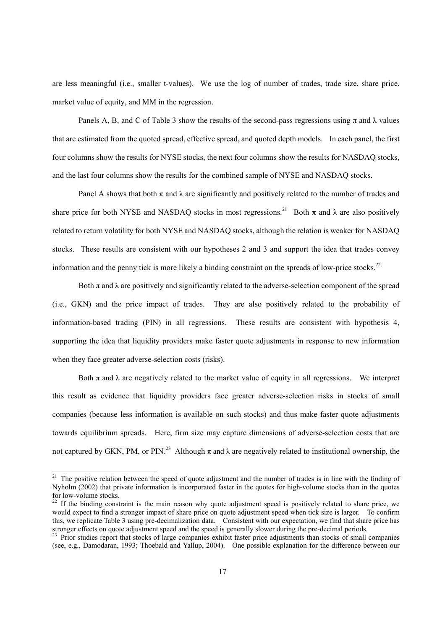are less meaningful (i.e., smaller t-values). We use the log of number of trades, trade size, share price, market value of equity, and MM in the regression.

Panels A, B, and C of Table 3 show the results of the second-pass regressions using  $\pi$  and  $\lambda$  values that are estimated from the quoted spread, effective spread, and quoted depth models. In each panel, the first four columns show the results for NYSE stocks, the next four columns show the results for NASDAQ stocks, and the last four columns show the results for the combined sample of NYSE and NASDAQ stocks.

Panel A shows that both  $\pi$  and  $\lambda$  are significantly and positively related to the number of trades and share price for both NYSE and NASDAQ stocks in most regressions.<sup>21</sup> Both  $\pi$  and  $\lambda$  are also positively related to return volatility for both NYSE and NASDAQ stocks, although the relation is weaker for NASDAQ stocks. These results are consistent with our hypotheses 2 and 3 and support the idea that trades convey information and the penny tick is more likely a binding constraint on the spreads of low-price stocks.<sup>22</sup>

Both  $\pi$  and  $\lambda$  are positively and significantly related to the adverse-selection component of the spread (i.e., GKN) and the price impact of trades. They are also positively related to the probability of information-based trading (PIN) in all regressions. These results are consistent with hypothesis 4, supporting the idea that liquidity providers make faster quote adjustments in response to new information when they face greater adverse-selection costs (risks).

Both  $\pi$  and  $\lambda$  are negatively related to the market value of equity in all regressions. We interpret this result as evidence that liquidity providers face greater adverse-selection risks in stocks of small companies (because less information is available on such stocks) and thus make faster quote adjustments towards equilibrium spreads. Here, firm size may capture dimensions of adverse-selection costs that are not captured by GKN, PM, or PIN.<sup>23</sup> Although π and λ are negatively related to institutional ownership, the

-

 $21$  The positive relation between the speed of quote adjustment and the number of trades is in line with the finding of Nyholm (2002) that private information is incorporated faster in the quotes for high-volume stocks than in the quotes for low-volume stocks.

 $^{22}$  If the binding constraint is the main reason why quote adjustment speed is positively related to share price, we would expect to find a stronger impact of share price on quote adjustment speed when tick size is larger. To confirm this, we replicate Table 3 using pre-decimalization data. Consistent with our expectation, we find that share price has stronger effects on quote adjustment speed and the speed is generally slower during the pre-decimal periods.

<sup>&</sup>lt;sup>23</sup> Prior studies report that stocks of large companies exhibit faster price adjustments than stocks of small companies (see, e.g., Damodaran, 1993; Thoebald and Yallup, 2004). One possible explanation for the difference between our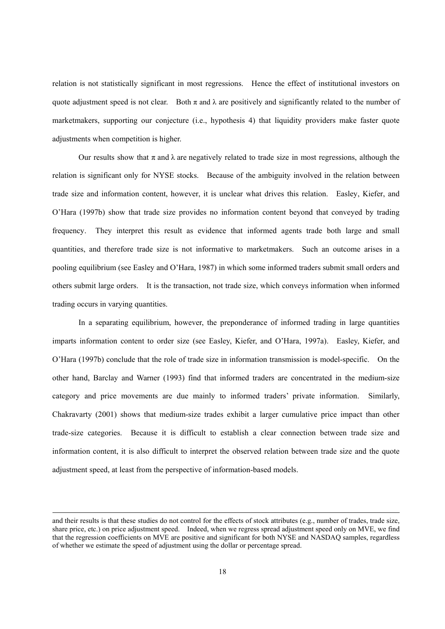relation is not statistically significant in most regressions. Hence the effect of institutional investors on quote adjustment speed is not clear. Both  $\pi$  and  $\lambda$  are positively and significantly related to the number of marketmakers, supporting our conjecture (i.e., hypothesis 4) that liquidity providers make faster quote adjustments when competition is higher.

Our results show that  $\pi$  and  $\lambda$  are negatively related to trade size in most regressions, although the relation is significant only for NYSE stocks. Because of the ambiguity involved in the relation between trade size and information content, however, it is unclear what drives this relation. Easley, Kiefer, and O'Hara (1997b) show that trade size provides no information content beyond that conveyed by trading frequency. They interpret this result as evidence that informed agents trade both large and small quantities, and therefore trade size is not informative to marketmakers. Such an outcome arises in a pooling equilibrium (see Easley and O'Hara, 1987) in which some informed traders submit small orders and others submit large orders. It is the transaction, not trade size, which conveys information when informed trading occurs in varying quantities.

In a separating equilibrium, however, the preponderance of informed trading in large quantities imparts information content to order size (see Easley, Kiefer, and O'Hara, 1997a). Easley, Kiefer, and O'Hara (1997b) conclude that the role of trade size in information transmission is model-specific. On the other hand, Barclay and Warner (1993) find that informed traders are concentrated in the medium-size category and price movements are due mainly to informed traders' private information. Similarly, Chakravarty (2001) shows that medium-size trades exhibit a larger cumulative price impact than other trade-size categories. Because it is difficult to establish a clear connection between trade size and information content, it is also difficult to interpret the observed relation between trade size and the quote adjustment speed, at least from the perspective of information-based models.

l

and their results is that these studies do not control for the effects of stock attributes (e.g., number of trades, trade size, share price, etc.) on price adjustment speed. Indeed, when we regress spread adjustment speed only on MVE, we find that the regression coefficients on MVE are positive and significant for both NYSE and NASDAQ samples, regardless of whether we estimate the speed of adjustment using the dollar or percentage spread.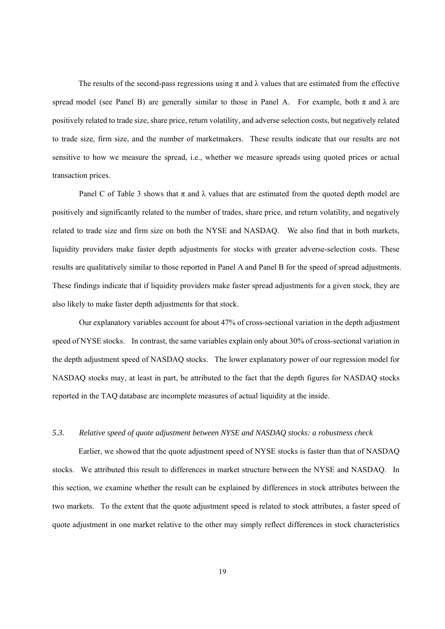The results of the second-pass regressions using  $\pi$  and  $\lambda$  values that are estimated from the effective spread model (see Panel B) are generally similar to those in Panel A. For example, both  $\pi$  and  $\lambda$  are positively related to trade size, share price, return volatility, and adverse selection costs, but negatively related to trade size, firm size, and the number of marketmakers. These results indicate that our results are not sensitive to how we measure the spread, i.e., whether we measure spreads using quoted prices or actual transaction prices.

Panel C of Table 3 shows that  $\pi$  and  $\lambda$  values that are estimated from the quoted depth model are positively and significantly related to the number of trades, share price, and return volatility, and negatively related to trade size and firm size on both the NYSE and NASDAQ. We also find that in both markets, liquidity providers make faster depth adjustments for stocks with greater adverse-selection costs. These results are qualitatively similar to those reported in Panel A and Panel B for the speed of spread adjustments. These findings indicate that if liquidity providers make faster spread adjustments for a given stock, they are also likely to make faster depth adjustments for that stock.

 Our explanatory variables account for about 47% of cross-sectional variation in the depth adjustment speed of NYSE stocks. In contrast, the same variables explain only about 30% of cross-sectional variation in the depth adjustment speed of NASDAQ stocks. The lower explanatory power of our regression model for NASDAQ stocks may, at least in part, be attributed to the fact that the depth figures for NASDAQ stocks reported in the TAQ database are incomplete measures of actual liquidity at the inside.

#### *5.3. Relative speed of quote adjustment between NYSE and NASDAQ stocks: a robustness check*

Earlier, we showed that the quote adjustment speed of NYSE stocks is faster than that of NASDAQ stocks. We attributed this result to differences in market structure between the NYSE and NASDAQ. In this section, we examine whether the result can be explained by differences in stock attributes between the two markets. To the extent that the quote adjustment speed is related to stock attributes, a faster speed of quote adjustment in one market relative to the other may simply reflect differences in stock characteristics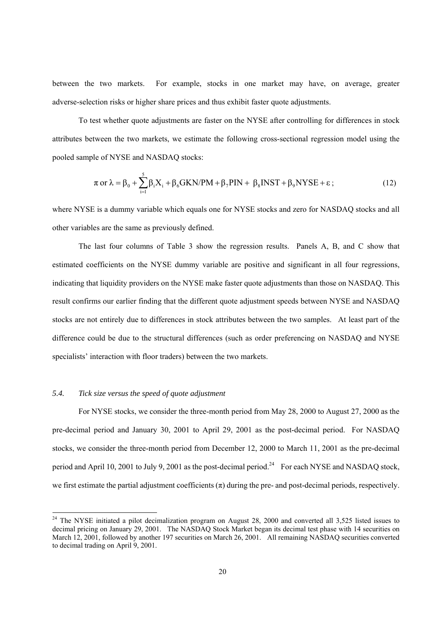between the two markets. For example, stocks in one market may have, on average, greater adverse-selection risks or higher share prices and thus exhibit faster quote adjustments.

To test whether quote adjustments are faster on the NYSE after controlling for differences in stock attributes between the two markets, we estimate the following cross-sectional regression model using the pooled sample of NYSE and NASDAQ stocks:

$$
\pi \text{ or } \lambda = \beta_0 + \sum_{i=1}^{5} \beta_i X_i + \beta_6 \text{GKN/PM} + \beta_7 \text{PIN} + \beta_8 \text{INST} + \beta_9 \text{NYSE} + \varepsilon ; \qquad (12)
$$

where NYSE is a dummy variable which equals one for NYSE stocks and zero for NASDAQ stocks and all other variables are the same as previously defined.

The last four columns of Table 3 show the regression results. Panels A, B, and C show that estimated coefficients on the NYSE dummy variable are positive and significant in all four regressions, indicating that liquidity providers on the NYSE make faster quote adjustments than those on NASDAQ. This result confirms our earlier finding that the different quote adjustment speeds between NYSE and NASDAQ stocks are not entirely due to differences in stock attributes between the two samples. At least part of the difference could be due to the structural differences (such as order preferencing on NASDAQ and NYSE specialists' interaction with floor traders) between the two markets.

#### *5.4. Tick size versus the speed of quote adjustment*

-

 For NYSE stocks, we consider the three-month period from May 28, 2000 to August 27, 2000 as the pre-decimal period and January 30, 2001 to April 29, 2001 as the post-decimal period. For NASDAQ stocks, we consider the three-month period from December 12, 2000 to March 11, 2001 as the pre-decimal period and April 10, 2001 to July 9, 2001 as the post-decimal period.<sup>24</sup> For each NYSE and NASDAQ stock, we first estimate the partial adjustment coefficients  $(\pi)$  during the pre- and post-decimal periods, respectively.

 $24$  The NYSE initiated a pilot decimalization program on August 28, 2000 and converted all 3,525 listed issues to decimal pricing on January 29, 2001. The NASDAQ Stock Market began its decimal test phase with 14 securities on March 12, 2001, followed by another 197 securities on March 26, 2001. All remaining NASDAQ securities converted to decimal trading on April 9, 2001.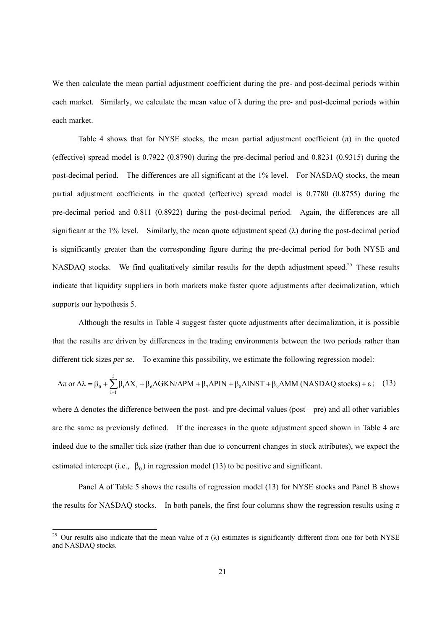We then calculate the mean partial adjustment coefficient during the pre- and post-decimal periods within each market. Similarly, we calculate the mean value of  $\lambda$  during the pre- and post-decimal periods within each market.

Table 4 shows that for NYSE stocks, the mean partial adjustment coefficient  $(\pi)$  in the quoted (effective) spread model is 0.7922 (0.8790) during the pre-decimal period and 0.8231 (0.9315) during the post-decimal period. The differences are all significant at the 1% level. For NASDAQ stocks, the mean partial adjustment coefficients in the quoted (effective) spread model is 0.7780 (0.8755) during the pre-decimal period and 0.811 (0.8922) during the post-decimal period. Again, the differences are all significant at the 1% level. Similarly, the mean quote adjustment speed  $(\lambda)$  during the post-decimal period is significantly greater than the corresponding figure during the pre-decimal period for both NYSE and NASDAQ stocks. We find qualitatively similar results for the depth adjustment speed.<sup>25</sup> These results indicate that liquidity suppliers in both markets make faster quote adjustments after decimalization, which supports our hypothesis 5.

Although the results in Table 4 suggest faster quote adjustments after decimalization, it is possible that the results are driven by differences in the trading environments between the two periods rather than different tick sizes *per se*. To examine this possibility, we estimate the following regression model:

$$
\Delta \pi \text{ or } \Delta \lambda = \beta_0 + \sum_{i=1}^{5} \beta_i \Delta X_i + \beta_6 \Delta GKN/\Delta PM + \beta_7 \Delta PIN + \beta_8 \Delta INST + \beta_9 \Delta MM \text{ (NASDAQ stocks)} + \epsilon \text{; (13)}
$$

where ∆ denotes the difference between the post- and pre-decimal values (post – pre) and all other variables are the same as previously defined. If the increases in the quote adjustment speed shown in Table 4 are indeed due to the smaller tick size (rather than due to concurrent changes in stock attributes), we expect the estimated intercept (i.e.,  $\beta_0$ ) in regression model (13) to be positive and significant.

Panel A of Table 5 shows the results of regression model (13) for NYSE stocks and Panel B shows the results for NASDAQ stocks. In both panels, the first four columns show the regression results using  $\pi$ 

-

<sup>&</sup>lt;sup>25</sup> Our results also indicate that the mean value of  $\pi(\lambda)$  estimates is significantly different from one for both NYSE and NASDAQ stocks.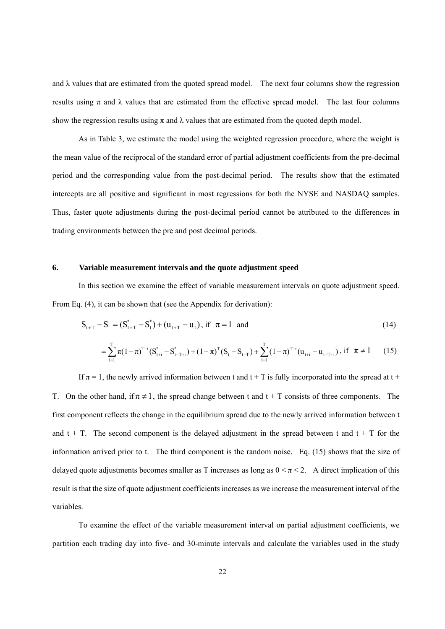and  $\lambda$  values that are estimated from the quoted spread model. The next four columns show the regression results using  $\pi$  and  $\lambda$  values that are estimated from the effective spread model. The last four columns show the regression results using  $\pi$  and  $\lambda$  values that are estimated from the quoted depth model.

As in Table 3, we estimate the model using the weighted regression procedure, where the weight is the mean value of the reciprocal of the standard error of partial adjustment coefficients from the pre-decimal period and the corresponding value from the post-decimal period. The results show that the estimated intercepts are all positive and significant in most regressions for both the NYSE and NASDAQ samples. Thus, faster quote adjustments during the post-decimal period cannot be attributed to the differences in trading environments between the pre and post decimal periods.

#### **6. Variable measurement intervals and the quote adjustment speed**

In this section we examine the effect of variable measurement intervals on quote adjustment speed. From Eq. (4), it can be shown that (see the Appendix for derivation):

$$
S_{t+T} - S_t = (S_{t+T}^* - S_t^*) + (u_{t+T} - u_t), \text{ if } \pi = 1 \text{ and } (14)
$$

$$
= \sum_{i=1}^{T} \pi (1-\pi)^{T-i} (S_{t+i}^* - S_{t-T+i}^*) + (1-\pi)^{T} (S_t - S_{t-T}) + \sum_{i=1}^{T} (1-\pi)^{T-i} (u_{t+i} - u_{t-T+i}), \text{ if } \pi \neq 1 \qquad (15)
$$

If  $\pi = 1$ , the newly arrived information between t and  $t + T$  is fully incorporated into the spread at  $t + T$ T. On the other hand, if  $\pi \neq 1$ , the spread change between t and t + T consists of three components. The first component reflects the change in the equilibrium spread due to the newly arrived information between t and  $t + T$ . The second component is the delayed adjustment in the spread between t and  $t + T$  for the information arrived prior to t. The third component is the random noise. Eq. (15) shows that the size of delayed quote adjustments becomes smaller as T increases as long as  $0 \le \pi \le 2$ . A direct implication of this result is that the size of quote adjustment coefficients increases as we increase the measurement interval of the variables.

To examine the effect of the variable measurement interval on partial adjustment coefficients, we partition each trading day into five- and 30-minute intervals and calculate the variables used in the study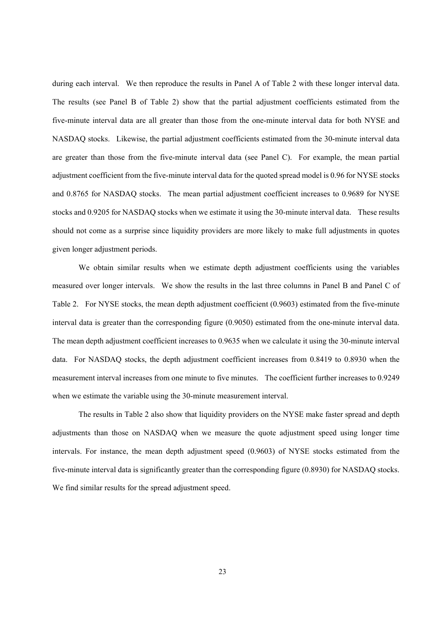during each interval. We then reproduce the results in Panel A of Table 2 with these longer interval data. The results (see Panel B of Table 2) show that the partial adjustment coefficients estimated from the five-minute interval data are all greater than those from the one-minute interval data for both NYSE and NASDAQ stocks. Likewise, the partial adjustment coefficients estimated from the 30-minute interval data are greater than those from the five-minute interval data (see Panel C). For example, the mean partial adjustment coefficient from the five-minute interval data for the quoted spread model is 0.96 for NYSE stocks and 0.8765 for NASDAQ stocks. The mean partial adjustment coefficient increases to 0.9689 for NYSE stocks and 0.9205 for NASDAQ stocks when we estimate it using the 30-minute interval data. These results should not come as a surprise since liquidity providers are more likely to make full adjustments in quotes given longer adjustment periods.

We obtain similar results when we estimate depth adjustment coefficients using the variables measured over longer intervals. We show the results in the last three columns in Panel B and Panel C of Table 2. For NYSE stocks, the mean depth adjustment coefficient (0.9603) estimated from the five-minute interval data is greater than the corresponding figure (0.9050) estimated from the one-minute interval data. The mean depth adjustment coefficient increases to 0.9635 when we calculate it using the 30-minute interval data. For NASDAQ stocks, the depth adjustment coefficient increases from 0.8419 to 0.8930 when the measurement interval increases from one minute to five minutes. The coefficient further increases to 0.9249 when we estimate the variable using the 30-minute measurement interval.

The results in Table 2 also show that liquidity providers on the NYSE make faster spread and depth adjustments than those on NASDAQ when we measure the quote adjustment speed using longer time intervals. For instance, the mean depth adjustment speed (0.9603) of NYSE stocks estimated from the five-minute interval data is significantly greater than the corresponding figure (0.8930) for NASDAQ stocks. We find similar results for the spread adjustment speed.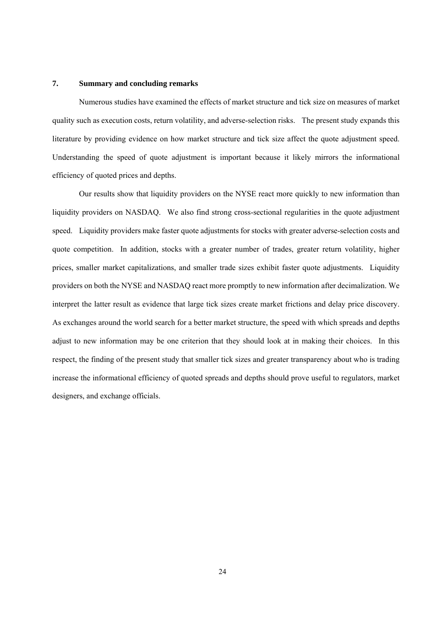#### **7. Summary and concluding remarks**

 Numerous studies have examined the effects of market structure and tick size on measures of market quality such as execution costs, return volatility, and adverse-selection risks. The present study expands this literature by providing evidence on how market structure and tick size affect the quote adjustment speed. Understanding the speed of quote adjustment is important because it likely mirrors the informational efficiency of quoted prices and depths.

 Our results show that liquidity providers on the NYSE react more quickly to new information than liquidity providers on NASDAQ. We also find strong cross-sectional regularities in the quote adjustment speed. Liquidity providers make faster quote adjustments for stocks with greater adverse-selection costs and quote competition. In addition, stocks with a greater number of trades, greater return volatility, higher prices, smaller market capitalizations, and smaller trade sizes exhibit faster quote adjustments. Liquidity providers on both the NYSE and NASDAQ react more promptly to new information after decimalization. We interpret the latter result as evidence that large tick sizes create market frictions and delay price discovery. As exchanges around the world search for a better market structure, the speed with which spreads and depths adjust to new information may be one criterion that they should look at in making their choices. In this respect, the finding of the present study that smaller tick sizes and greater transparency about who is trading increase the informational efficiency of quoted spreads and depths should prove useful to regulators, market designers, and exchange officials.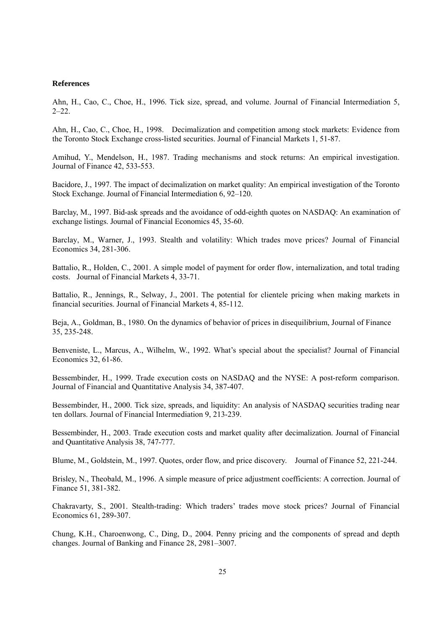#### **References**

Ahn, H., Cao, C., Choe, H., 1996. Tick size, spread, and volume. Journal of Financial Intermediation 5,  $2 - 22$ 

Ahn, H., Cao, C., Choe, H., 1998. Decimalization and competition among stock markets: Evidence from the Toronto Stock Exchange cross-listed securities. Journal of Financial Markets 1, 51-87.

Amihud, Y., Mendelson, H., 1987. Trading mechanisms and stock returns: An empirical investigation. Journal of Finance 42, 533-553.

Bacidore, J., 1997. The impact of decimalization on market quality: An empirical investigation of the Toronto Stock Exchange. Journal of Financial Intermediation 6, 92–120.

Barclay, M., 1997. Bid-ask spreads and the avoidance of odd-eighth quotes on NASDAQ: An examination of exchange listings. Journal of Financial Economics 45, 35-60.

Barclay, M., Warner, J., 1993. Stealth and volatility: Which trades move prices? Journal of Financial Economics 34, 281-306.

Battalio, R., Holden, C., 2001. A simple model of payment for order flow, internalization, and total trading costs. Journal of Financial Markets 4, 33-71.

Battalio, R., Jennings, R., Selway, J., 2001. The potential for clientele pricing when making markets in financial securities. Journal of Financial Markets 4, 85-112.

Beja, A., Goldman, B., 1980. On the dynamics of behavior of prices in disequilibrium, Journal of Finance 35, 235-248.

Benveniste, L., Marcus, A., Wilhelm, W., 1992. What's special about the specialist? Journal of Financial Economics 32, 61-86.

Bessembinder, H., 1999. Trade execution costs on NASDAQ and the NYSE: A post-reform comparison. Journal of Financial and Quantitative Analysis 34, 387-407.

Bessembinder, H., 2000. Tick size, spreads, and liquidity: An analysis of NASDAQ securities trading near ten dollars. Journal of Financial Intermediation 9, 213-239.

Bessembinder, H., 2003. Trade execution costs and market quality after decimalization. Journal of Financial and Quantitative Analysis 38, 747-777.

Blume, M., Goldstein, M., 1997. Quotes, order flow, and price discovery. Journal of Finance 52, 221-244.

Brisley, N., Theobald, M., 1996. A simple measure of price adjustment coefficients: A correction. Journal of Finance 51, 381-382.

Chakravarty, S., 2001. Stealth-trading: Which traders' trades move stock prices? Journal of Financial Economics 61, 289-307.

Chung, K.H., Charoenwong, C., Ding, D., 2004. Penny pricing and the components of spread and depth changes. Journal of Banking and Finance 28, 2981–3007.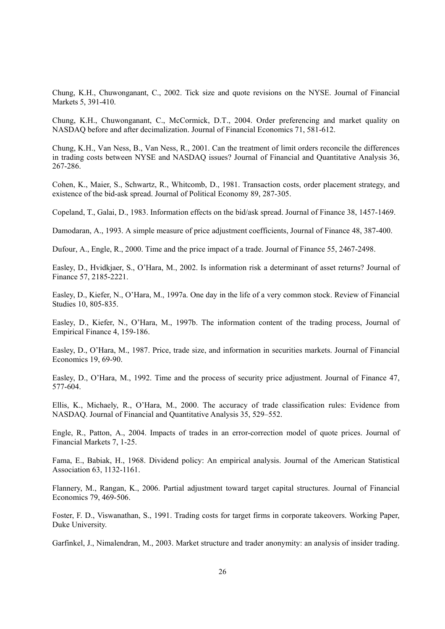Chung, K.H., Chuwonganant, C., 2002. Tick size and quote revisions on the NYSE. Journal of Financial Markets 5, 391-410.

Chung, K.H., Chuwonganant, C., McCormick, D.T., 2004. Order preferencing and market quality on NASDAQ before and after decimalization. Journal of Financial Economics 71, 581-612.

Chung, K.H., Van Ness, B., Van Ness, R., 2001. Can the treatment of limit orders reconcile the differences in trading costs between NYSE and NASDAQ issues? Journal of Financial and Quantitative Analysis 36, 267-286.

Cohen, K., Maier, S., Schwartz, R., Whitcomb, D., 1981. Transaction costs, order placement strategy, and existence of the bid-ask spread. Journal of Political Economy 89, 287-305.

Copeland, T., Galai, D., 1983. Information effects on the bid/ask spread. Journal of Finance 38, 1457-1469.

Damodaran, A., 1993. A simple measure of price adjustment coefficients, Journal of Finance 48, 387-400.

Dufour, A., Engle, R., 2000. Time and the price impact of a trade. Journal of Finance 55, 2467-2498.

Easley, D., Hvidkjaer, S., O'Hara, M., 2002. Is information risk a determinant of asset returns? Journal of Finance 57, 2185-2221.

Easley, D., Kiefer, N., O'Hara, M., 1997a. One day in the life of a very common stock. Review of Financial Studies 10, 805-835.

Easley, D., Kiefer, N., O'Hara, M., 1997b. The information content of the trading process, Journal of Empirical Finance 4, 159-186.

Easley, D., O'Hara, M., 1987. Price, trade size, and information in securities markets. Journal of Financial Economics 19, 69-90.

Easley, D., O'Hara, M., 1992. Time and the process of security price adjustment. Journal of Finance 47, 577-604.

Ellis, K., Michaely, R., O'Hara, M., 2000. The accuracy of trade classification rules: Evidence from NASDAQ. Journal of Financial and Quantitative Analysis 35, 529–552.

Engle, R., Patton, A., 2004. Impacts of trades in an error-correction model of quote prices. Journal of Financial Markets 7, 1-25.

Fama, E., Babiak, H., 1968. Dividend policy: An empirical analysis. Journal of the American Statistical Association 63, 1132-1161.

Flannery, M., Rangan, K., 2006. Partial adjustment toward target capital structures. Journal of Financial Economics 79, 469-506.

Foster, F. D., Viswanathan, S., 1991. Trading costs for target firms in corporate takeovers. Working Paper, Duke University.

Garfinkel, J., Nimalendran, M., 2003. Market structure and trader anonymity: an analysis of insider trading.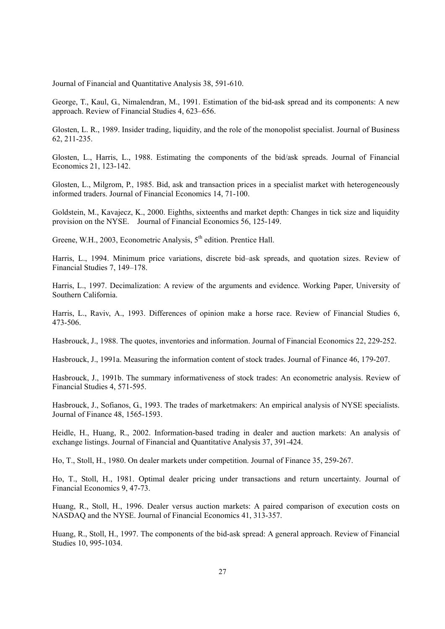Journal of Financial and Quantitative Analysis 38, 591-610.

George, T., Kaul, G., Nimalendran, M., 1991. Estimation of the bid-ask spread and its components: A new approach. Review of Financial Studies 4, 623–656.

Glosten, L. R., 1989. Insider trading, liquidity, and the role of the monopolist specialist. Journal of Business 62, 211-235.

Glosten, L., Harris, L., 1988. Estimating the components of the bid/ask spreads. Journal of Financial Economics 21, 123-142.

Glosten, L., Milgrom, P., 1985. Bid, ask and transaction prices in a specialist market with heterogeneously informed traders. Journal of Financial Economics 14, 71-100.

Goldstein, M., Kavajecz, K., 2000. Eighths, sixteenths and market depth: Changes in tick size and liquidity provision on the NYSE. Journal of Financial Economics 56, 125-149.

Greene, W.H., 2003, Econometric Analysis,  $5<sup>th</sup>$  edition. Prentice Hall.

Harris, L., 1994. Minimum price variations, discrete bid–ask spreads, and quotation sizes. Review of Financial Studies 7, 149–178.

Harris, L., 1997. Decimalization: A review of the arguments and evidence. Working Paper, University of Southern California.

Harris, L., Raviv, A., 1993. Differences of opinion make a horse race. Review of Financial Studies 6, 473-506.

Hasbrouck, J., 1988. The quotes, inventories and information. Journal of Financial Economics 22, 229-252.

Hasbrouck, J., 1991a. Measuring the information content of stock trades. Journal of Finance 46, 179-207.

Hasbrouck, J., 1991b. The summary informativeness of stock trades: An econometric analysis. Review of Financial Studies 4, 571-595.

Hasbrouck, J., Sofianos, G., 1993. The trades of marketmakers: An empirical analysis of NYSE specialists. Journal of Finance 48, 1565-1593.

Heidle, H., Huang, R., 2002. Information-based trading in dealer and auction markets: An analysis of exchange listings. Journal of Financial and Quantitative Analysis 37, 391-424.

Ho, T., Stoll, H., 1980. On dealer markets under competition. Journal of Finance 35, 259-267.

Ho, T., Stoll, H., 1981. Optimal dealer pricing under transactions and return uncertainty. Journal of Financial Economics 9, 47-73.

Huang, R., Stoll, H., 1996. Dealer versus auction markets: A paired comparison of execution costs on NASDAQ and the NYSE. Journal of Financial Economics 41, 313-357.

Huang, R., Stoll, H., 1997. The components of the bid-ask spread: A general approach. Review of Financial Studies 10, 995-1034.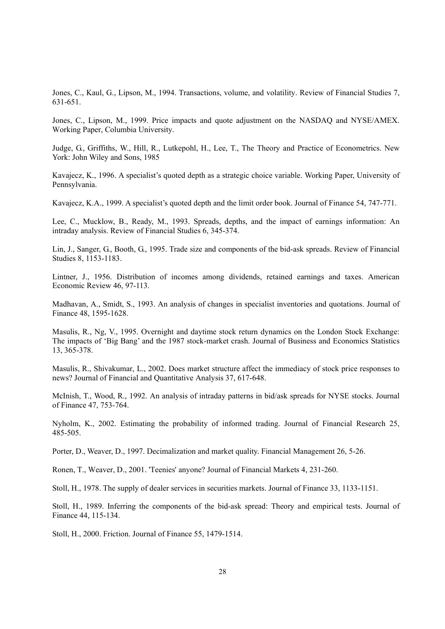Jones, C., Kaul, G., Lipson, M., 1994. Transactions, volume, and volatility. Review of Financial Studies 7, 631-651.

Jones, C., Lipson, M., 1999. Price impacts and quote adjustment on the NASDAQ and NYSE/AMEX. Working Paper, Columbia University.

Judge, G., Griffiths, W., Hill, R., Lutkepohl, H., Lee, T., The Theory and Practice of Econometrics. New York: John Wiley and Sons, 1985

Kavajecz, K., 1996. A specialist's quoted depth as a strategic choice variable. Working Paper, University of Pennsylvania.

Kavajecz, K.A., 1999. A specialist's quoted depth and the limit order book. Journal of Finance 54, 747-771.

Lee, C., Mucklow, B., Ready, M., 1993. Spreads, depths, and the impact of earnings information: An intraday analysis. Review of Financial Studies 6, 345-374.

Lin, J., Sanger, G., Booth, G., 1995. Trade size and components of the bid-ask spreads. Review of Financial Studies 8, 1153-1183.

Lintner, J., 1956. Distribution of incomes among dividends, retained earnings and taxes. American Economic Review 46, 97-113.

Madhavan, A., Smidt, S., 1993. An analysis of changes in specialist inventories and quotations. Journal of Finance 48, 1595-1628.

Masulis, R., Ng, V., 1995. Overnight and daytime stock return dynamics on the London Stock Exchange: The impacts of 'Big Bang' and the 1987 stock-market crash. Journal of Business and Economics Statistics 13, 365-378.

Masulis, R., Shivakumar, L., 2002. Does market structure affect the immediacy of stock price responses to news? Journal of Financial and Quantitative Analysis 37, 617-648.

McInish, T., Wood, R., 1992. An analysis of intraday patterns in bid/ask spreads for NYSE stocks. Journal of Finance 47, 753-764.

Nyholm, K., 2002. Estimating the probability of informed trading. Journal of Financial Research 25, 485-505.

Porter, D., Weaver, D., 1997. Decimalization and market quality. Financial Management 26, 5-26.

Ronen, T., Weaver, D., 2001. 'Teenies' anyone? Journal of Financial Markets 4, 231-260.

Stoll, H., 1978. The supply of dealer services in securities markets. Journal of Finance 33, 1133-1151.

Stoll, H., 1989. Inferring the components of the bid-ask spread: Theory and empirical tests. Journal of Finance 44, 115-134.

Stoll, H., 2000. Friction. Journal of Finance 55, 1479-1514.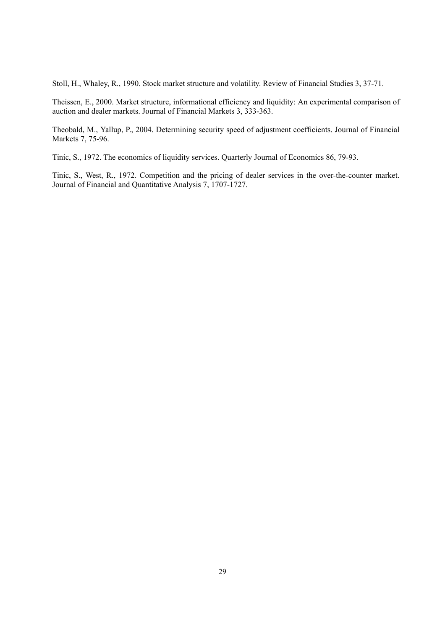Stoll, H., Whaley, R., 1990. Stock market structure and volatility. Review of Financial Studies 3, 37-71.

Theissen, E., 2000. Market structure, informational efficiency and liquidity: An experimental comparison of auction and dealer markets. Journal of Financial Markets 3, 333-363.

Theobald, M., Yallup, P., 2004. Determining security speed of adjustment coefficients. Journal of Financial Markets 7, 75-96.

Tinic, S., 1972. The economics of liquidity services. Quarterly Journal of Economics 86, 79-93.

Tinic, S., West, R., 1972. Competition and the pricing of dealer services in the over-the-counter market. Journal of Financial and Quantitative Analysis 7, 1707-1727.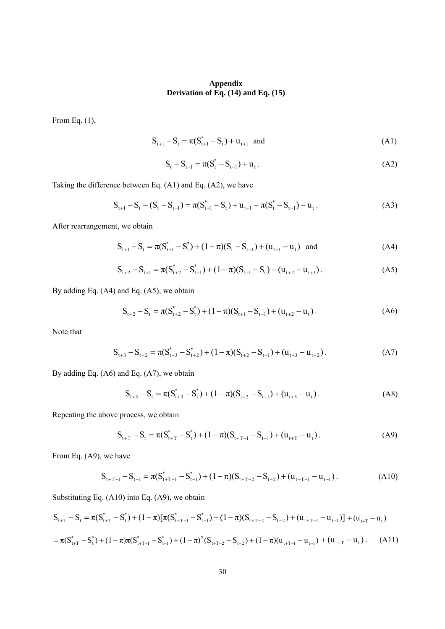#### **Appendix Derivation of Eq. (14) and Eq. (15)**

From Eq. (1),

$$
S_{t+1} - S_t = \pi (S_{t+1}^* - S_t) + u_{t+1} \text{ and } (A1)
$$

$$
S_{t} - S_{t-1} = \pi (S_{t}^{*} - S_{t-1}) + u_{t}. \tag{A2}
$$

Taking the difference between Eq. (A1) and Eq. (A2), we have

$$
S_{t+1} - S_t - (S_t - S_{t-1}) = \pi (S_{t+1}^* - S_t) + u_{t+1} - \pi (S_t^* - S_{t-1}) - u_t.
$$
 (A3)

After rearrangement, we obtain

$$
S_{t+1} - S_t = \pi (S_{t+1}^* - S_t^*) + (1 - \pi)(S_t - S_{t-1}) + (u_{t+1} - u_t) \text{ and } (A4)
$$

$$
S_{t+2} - S_{t+1} = \pi (S_{t+2}^* - S_{t+1}^*) + (1 - \pi) (S_{t+1} - S_t) + (u_{t+2} - u_{t+1}). \tag{A5}
$$

By adding Eq. (A4) and Eq. (A5), we obtain

$$
S_{t+2} - S_t = \pi (S_{t+2}^* - S_t^*) + (1 - \pi) (S_{t+1} - S_{t-1}) + (u_{t+2} - u_t).
$$
 (A6)

Note that

$$
S_{t+3} - S_{t+2} = \pi (S_{t+3}^* - S_{t+2}^*) + (1 - \pi) (S_{t+2} - S_{t+1}) + (u_{t+3} - u_{t+2}). \tag{A7}
$$

By adding Eq. (A6) and Eq. (A7), we obtain

$$
S_{t+3} - S_t = \pi (S_{t+3}^* - S_t^*) + (1 - \pi) (S_{t+2} - S_{t-1}) + (u_{t+3} - u_t).
$$
 (A8)

Repeating the above process, we obtain

$$
S_{t+T} - S_t = \pi (S_{t+T}^* - S_t^*) + (1 - \pi) (S_{t+T-1} - S_{t-1}) + (u_{t+T} - u_t).
$$
 (A9)

From Eq. (A9), we have

$$
S_{t+T-1} - S_{t-1} = \pi (S_{t+T-1}^* - S_{t-1}^*) + (1 - \pi) (S_{t+T-2} - S_{t-2}) + (u_{t+T-1} - u_{t-1}).
$$
\n(A10)

Substituting Eq. (A10) into Eq. (A9), we obtain

$$
S_{t+T} - S_t = \pi (S_{t+T}^* - S_t^*) + (1 - \pi) [\pi (S_{t+T-1}^* - S_{t-1}^*) + (1 - \pi) (S_{t+T-2} - S_{t-2}) + (u_{t+T-1} - u_{t-1})] + (u_{t+T} - u_t)
$$
  
=  $\pi (S_{t+T}^* - S_t^*) + (1 - \pi) \pi (S_{t+T-1}^* - S_{t-1}^*) + (1 - \pi)^2 (S_{t+T-2} - S_{t-2}) + (1 - \pi) (u_{t+T-1} - u_{t-1}) + (u_{t+T} - u_t).$  (A11)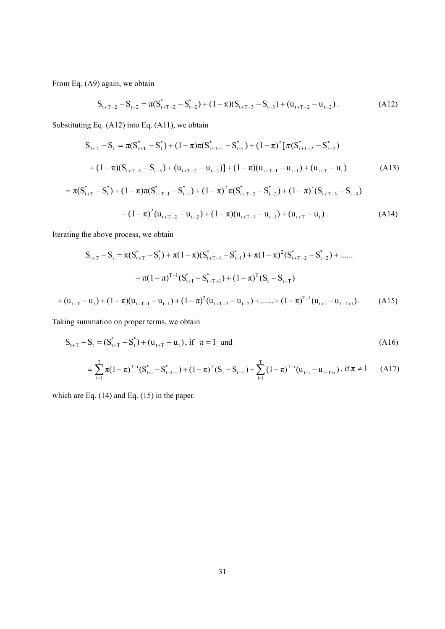From Eq. (A9) again, we obtain

$$
S_{t+T-2} - S_{t-2} = \pi (S_{t+T-2}^* - S_{t-2}^*) + (1 - \pi) (S_{t+T-3} - S_{t-3}) + (u_{t+T-2} - u_{t-2}).
$$
\n(A12)

Substituting Eq. (A12) into Eq. (A11), we obtain

$$
S_{t+T} - S_t = \pi (S_{t+T}^* - S_t^*) + (1 - \pi) \pi (S_{t+T-1}^* - S_{t-1}^*) + (1 - \pi)^2 [\pi (S_{t+T-2}^* - S_{t-2}^*)
$$
  
+  $(1 - \pi)(S_{t+T-3} - S_{t-3}) + (u_{t+T-2} - u_{t-2})] + (1 - \pi)(u_{t+T-1} - u_{t-1}) + (u_{t+T} - u_t)$  (A13)

$$
= \pi(S_{t+T}^* - S_t^*) + (1 - \pi)\pi(S_{t+T-1}^* - S_{t-1}^*) + (1 - \pi)^2 \pi(S_{t+T-2}^* - S_{t-2}^*) + (1 - \pi)^3(S_{t+T-3} - S_{t-3})
$$
  
+ 
$$
(1 - \pi)^2 (u_{t+T-2} - u_{t-2}) + (1 - \pi)(u_{t+T-1} - u_{t-1}) + (u_{t+T} - u_t).
$$
 (A14)

Iterating the above process, we obtain

$$
S_{t+T} - S_t = \pi (S_{t+T}^* - S_t^*) + \pi (1 - \pi) (S_{t+T-1}^* - S_{t-1}^*) + \pi (1 - \pi)^2 (S_{t+T-2}^* - S_{t-2}^*) + \dots
$$

$$
+ \pi (1 - \pi)^{T-1} (S_{t+1}^* - S_{t-T+1}^*) + (1 - \pi)^T (S_t - S_{t-T})
$$

$$
+ (u_{t+T} - u_t) + (1 - \pi)(u_{t+T-1} - u_{t-1}) + (1 - \pi)^2 (u_{t+T-2} - u_{t-2}) + \dots + (1 - \pi)^{T-1} (u_{t+1} - u_{t-T+1}).
$$
 (A15)

Taking summation on proper terms, we obtain

$$
S_{t+T} - S_t = (S_{t+T}^* - S_t^*) + (u_{t+T} - u_t), \text{ if } \pi = 1 \text{ and} \qquad (A16)
$$

$$
= \sum_{i=1}^{T} \pi (1-\pi)^{T-i} (S_{t+i}^* - S_{t-T+i}^*) + (1-\pi)^{T} (S_t - S_{t-T}) + \sum_{i=1}^{T} (1-\pi)^{T-i} (u_{t+i} - u_{t-T+i}), \text{ if } \pi \neq 1 \quad (A17)
$$

which are Eq. (14) and Eq. (15) in the paper.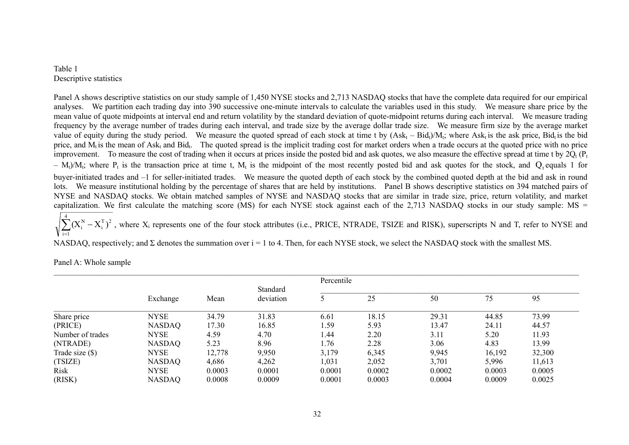#### Table 1 Descriptive statistics

Panel A shows descriptive statistics on our study sample of 1,450 NYSE stocks and 2,713 NASDAQ stocks that have the complete data required for our empirical analyses. We partition each trading day into 390 successive one-minute intervals to calculate the variables used in this study. We measure share price by the mean value of quote midpoints at interval end and return volatility by the standard deviation of quote-midpoint returns during each interval. We measure trading frequency by the average number of trades during each interval, and trade size by the average dollar trade size. We measure firm size by the average market value of equity during the study period. We measure the quoted spread of each stock at time t by  $(Ask_t - Bid_t)/M_t$ ; where Ask is the ask price, Bid is the bid price, and  $M_t$  is the mean of Ask, and Bid<sub>t</sub>. The quoted spread is the implicit trading cost for market orders when a trade occurs at the quoted price with no price improvement. To measure the cost of trading when it occurs at prices inside the posted bid and ask quotes, we also measure the effective spread at time t by  $2\dot{Q}_t(P_t)$  $- M_t$ )/ $M_t$ ; where  $P_t$  is the transaction price at time t,  $M_t$  is the midpoint of the most recently posted bid and ask quotes for the stock, and  $Q_t$  equals 1 for buyer-initiated trades and –1 for seller-initiated trades. We measure the quoted depth of each stock by the combined quoted depth at the bid and ask in round lots. We measure institutional holding by the percentage of shares that are held by institutions. Panel B shows descriptive statistics on 394 matched pairs of NYSE and NASDAQ stocks. We obtain matched samples of NYSE and NASDAQ stocks that are similar in trade size, price, return volatility, and market capitalization. We first calculate the matching score (MS) for each NYSE stock against each of the 2,713 NASDAQ stocks in our study sample: MS =

 $\binom{T}{i}^2$ N i 4  $\sum_{i=1}^{n} (X_i^N - X_i^T)^2$ , where  $X_i$  represents one of the four stock attributes (i.e., PRICE, NTRADE, TSIZE and RISK), superscripts N and T, refer to NYSE and  $i=1$ 

NASDAQ, respectively; and  $\Sigma$  denotes the summation over  $i = 1$  to 4. Then, for each NYSE stock, we select the NASDAQ stock with the smallest MS.

Panel A: Whole sample

|                   |               |        |           | Percentile |        |        |        |        |  |  |  |
|-------------------|---------------|--------|-----------|------------|--------|--------|--------|--------|--|--|--|
|                   |               |        | Standard  |            |        |        |        |        |  |  |  |
|                   | Exchange      | Mean   | deviation |            | 25     | 50     | 75     | 95     |  |  |  |
| Share price       | <b>NYSE</b>   | 34.79  | 31.83     | 6.61       | 18.15  | 29.31  | 44.85  | 73.99  |  |  |  |
| (PRICE)           | <b>NASDAQ</b> | 17.30  | 16.85     | 1.59       | 5.93   | 13.47  | 24.11  | 44.57  |  |  |  |
| Number of trades  | <b>NYSE</b>   | 4.59   | 4.70      | 1.44       | 2.20   | 3.11   | 5.20   | 11.93  |  |  |  |
| (NTRADE)          | <b>NASDAQ</b> | 5.23   | 8.96      | 1.76       | 2.28   | 3.06   | 4.83   | 13.99  |  |  |  |
| Trade size $(\$)$ | <b>NYSE</b>   | 12,778 | 9,950     | 3,179      | 6,345  | 9,945  | 16,192 | 32,300 |  |  |  |
| (TSIZE)           | <b>NASDAQ</b> | 4,686  | 4,262     | 1,031      | 2,052  | 3,701  | 5,996  | 11,613 |  |  |  |
| Risk              | <b>NYSE</b>   | 0.0003 | 0.0001    | 0.0001     | 0.0002 | 0.0002 | 0.0003 | 0.0005 |  |  |  |
| (RISK)            | <b>NASDAQ</b> | 0.0008 | 0.0009    | 0.0001     | 0.0003 | 0.0004 | 0.0009 | 0.0025 |  |  |  |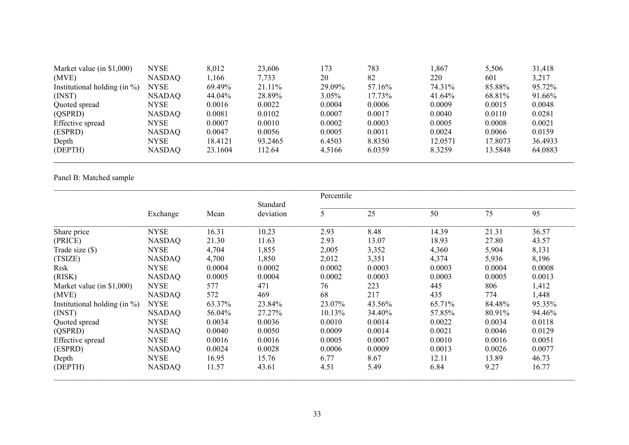| Market value (in \$1,000)        | <b>NYSE</b>   | 8,012   | 23,606  | 173      | 783    | ,867    | 5,506   | 31,418  |
|----------------------------------|---------------|---------|---------|----------|--------|---------|---------|---------|
| (MVE)                            | <b>NASDAQ</b> | 1,166   | 7,733   | 20       | 82     | 220     | 601     | 3,217   |
| Institutional holding (in $\%$ ) | <b>NYSE</b>   | 69.49%  | 21.11%  | 29.09%   | 57.16% | 74.31%  | 85.88%  | 95.72%  |
| (INST)                           | <b>NSADAQ</b> | 44.04%  | 28.89%  | $3.05\%$ | 17.73% | 41.64%  | 68.81%  | 91.66%  |
| Quoted spread                    | <b>NYSE</b>   | 0.0016  | 0.0022  | 0.0004   | 0.0006 | 0.0009  | 0.0015  | 0.0048  |
| (QSPRD)                          | <b>NASDAQ</b> | 0.0081  | 0.0102  | 0.0007   | 0.0017 | 0.0040  | 0.0110  | 0.0281  |
| Effective spread                 | <b>NYSE</b>   | 0.0007  | 0.0010  | 0.0002   | 0.0003 | 0.0005  | 0.0008  | 0.0021  |
| (ESPRD)                          | <b>NASDAQ</b> | 0.0047  | 0.0056  | 0.0005   | 0.0011 | 0.0024  | 0.0066  | 0.0159  |
| Depth                            | NYSE          | 18.4121 | 93.2465 | 6.4503   | 8.8350 | 12.0571 | 17.8073 | 36.4933 |
| (DEPTH)                          | <b>NASDAQ</b> | 23.1604 | 112.64  | 4.5166   | 6.0359 | 8.3259  | 13.5848 | 64.0883 |
|                                  |               |         |         |          |        |         |         |         |

Panel B: Matched sample

|                                  |               |        |           | Percentile |        |        |        |        |
|----------------------------------|---------------|--------|-----------|------------|--------|--------|--------|--------|
|                                  |               |        | Standard  |            |        |        |        |        |
|                                  | Exchange      | Mean   | deviation | 5          | 25     | 50     | 75     | 95     |
| Share price                      | <b>NYSE</b>   | 16.31  | 10.23     | 2.93       | 8.48   | 14.39  | 21.31  | 36.57  |
| (PRICE)                          | <b>NASDAQ</b> | 21.30  | 11.63     | 2.93       | 13.07  | 18.93  | 27.80  | 43.57  |
| Trade size (\$)                  | NYSE          | 4,704  | 1,855     | 2,005      | 3,352  | 4,360  | 5,904  | 8,131  |
| (TSIZE)                          | <b>NASDAQ</b> | 4,700  | 1,850     | 2,012      | 3,351  | 4,374  | 5,936  | 8,196  |
| Risk                             | <b>NYSE</b>   | 0.0004 | 0.0002    | 0.0002     | 0.0003 | 0.0003 | 0.0004 | 0.0008 |
| (RISK)                           | <b>NASDAQ</b> | 0.0005 | 0.0004    | 0.0002     | 0.0003 | 0.0003 | 0.0005 | 0.0013 |
| Market value (in \$1,000)        | <b>NYSE</b>   | 577    | 471       | 76         | 223    | 445    | 806    | 1,412  |
| (MVE)                            | <b>NASDAQ</b> | 572    | 469       | 68         | 217    | 435    | 774    | 1,448  |
| Institutional holding (in $\%$ ) | <b>NYSE</b>   | 63.37% | 23.84%    | 23.07%     | 43.56% | 65.71% | 84.48% | 95.35% |
| (INST)                           | <b>NSADAQ</b> | 56.04% | 27.27%    | 10.13%     | 34.40% | 57.85% | 80.91% | 94.46% |
| Quoted spread                    | <b>NYSE</b>   | 0.0034 | 0.0036    | 0.0010     | 0.0014 | 0.0022 | 0.0034 | 0.0118 |
| (QSPRD)                          | <b>NASDAQ</b> | 0.0040 | 0.0050    | 0.0009     | 0.0014 | 0.0021 | 0.0046 | 0.0129 |
| Effective spread                 | <b>NYSE</b>   | 0.0016 | 0.0016    | 0.0005     | 0.0007 | 0.0010 | 0.0016 | 0.0051 |
| (ESPRD)                          | <b>NASDAQ</b> | 0.0024 | 0.0028    | 0.0006     | 0.0009 | 0.0013 | 0.0026 | 0.0077 |
| Depth                            | <b>NYSE</b>   | 16.95  | 15.76     | 6.77       | 8.67   | 12.11  | 13.89  | 46.73  |
| (DEPTH)                          | <b>NASDAQ</b> | 11.57  | 43.61     | 4.51       | 5.49   | 6.84   | 9.27   | 16.77  |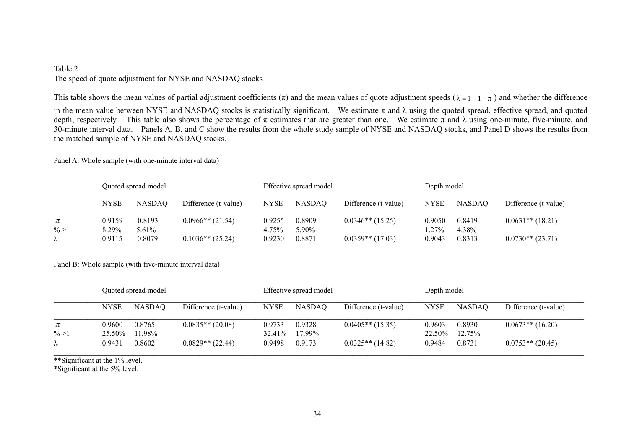## Table 2 The speed of quote adjustment for NYSE and NASDAQ stocks

This table shows the mean values of partial adjustment coefficients  $(\pi)$  and the mean values of quote adjustment speeds  $(\lambda = 1 - |1 - \pi|)$  and whether the difference

in the mean value between NYSE and NASDAQ stocks is statistically significant. We estimate  $\pi$  and  $\lambda$  using the quoted spread, effective spread, and quoted depth, respectively. This table also shows the percentage of  $\pi$  estimates that are greater than one. We estimate  $\pi$  and  $\lambda$  using one-minute, five-minute, and 30-minute interval data. Panels A, B, and C show the results from the whole study sample of NYSE and NASDAQ stocks, and Panel D shows the results from the matched sample of NYSE and NASDAQ stocks.

Panel A: Whole sample (with one-minute interval data)

|               | Quoted spread model |                    |                      |                 | Effective spread model |                      | Depth model       |                 |                      |  |
|---------------|---------------------|--------------------|----------------------|-----------------|------------------------|----------------------|-------------------|-----------------|----------------------|--|
|               | <b>NYSE</b>         | <b>NASDAO</b>      | Difference (t-value) | <b>NYSE</b>     | <b>NASDAO</b>          | Difference (t-value) | <b>NYSE</b>       | <b>NASDAO</b>   | Difference (t-value) |  |
| π<br>$\% > 1$ | 0.9159<br>8.29%     | 0.8193<br>$5.61\%$ | $0.0966**$ (21.54)   | 0.9255<br>4.75% | 0.8909<br>5.90%        | $0.0346**$ (15.25)   | 0.9050<br>$.27\%$ | 0.8419<br>4.38% | $0.0631**$ (18.21)   |  |
| ∼             | 0.9115              | 0.8079             | $0.1036**$ (25.24)   | 0.9230          | 0.8871                 | $0.0359**$ (17.03)   | 0.9043            | 0.8313          | $0.0730**$ (23.71)   |  |

\_\_\_\_\_\_\_\_\_\_\_\_\_\_\_\_\_\_\_\_\_\_\_\_\_\_\_\_\_\_\_\_\_\_\_\_\_\_\_\_\_\_\_\_\_\_\_\_\_\_\_\_\_\_\_\_ \_\_\_\_\_\_\_\_\_\_\_\_\_\_\_\_\_\_\_\_\_\_\_\_\_\_\_\_\_\_\_\_\_\_\_\_\_\_\_\_\_\_\_\_\_\_\_\_\_\_\_\_\_\_\_\_\_\_\_\_\_\_\_\_\_\_\_\_\_\_\_\_\_\_\_\_\_\_\_\_\_\_\_\_\_

\_\_\_\_\_\_\_\_\_\_\_\_\_\_\_\_\_\_\_\_\_\_\_\_\_\_\_\_\_\_\_\_\_\_\_\_\_\_\_\_\_\_\_\_\_\_\_\_\_\_\_\_\_\_\_\_\_\_\_\_\_\_\_\_\_\_\_\_\_\_\_\_\_\_\_\_\_\_\_\_\_\_\_\_\_\_\_\_\_\_\_\_\_\_\_\_\_\_\_\_\_\_\_\_\_\_\_\_\_\_\_\_\_\_\_\_\_\_\_\_\_\_\_\_\_\_\_\_\_\_\_\_\_\_\_\_\_\_\_\_\_\_

\_\_\_\_\_\_\_\_\_\_\_\_\_\_\_\_\_\_\_\_\_\_\_\_\_\_\_\_\_\_\_\_\_\_\_\_\_\_\_\_\_\_\_\_\_\_\_\_\_\_\_\_\_\_\_\_\_\_\_\_\_\_\_\_\_\_\_\_\_\_\_\_\_\_\_\_\_\_\_\_\_\_\_\_\_\_\_\_\_\_\_\_\_\_\_\_\_\_\_\_\_\_\_\_\_\_\_\_\_\_\_\_\_\_\_\_\_\_\_\_\_\_\_\_\_\_\_\_\_\_\_\_\_\_\_\_\_\_\_\_\_\_

Panel B: Whole sample (with five-minute interval data)

|                            | Quoted spread model |                  |                      |                  | Effective spread model |                      | Depth model      |                     |                      |  |
|----------------------------|---------------------|------------------|----------------------|------------------|------------------------|----------------------|------------------|---------------------|----------------------|--|
|                            | <b>NYSE</b>         | <b>NASDAO</b>    | Difference (t-value) | <b>NYSE</b>      | NASDAO                 | Difference (t-value) | <b>NYSE</b>      | NASDAO              | Difference (t-value) |  |
| $\pi$<br>$\frac{9}{6} > 1$ | 0.9600<br>25.50%    | 0.8765<br>11.98% | $0.0835**$ (20.08)   | 0.9733<br>32.41% | 0.9328<br>17.99%       | $0.0405**$ (15.35)   | 0.9603<br>22.50% | 0.8930<br>$12.75\%$ | $0.0673**$ (16.20)   |  |
| Λ                          | 0.9431              | 0.8602           | $0.0829**$ (22.44)   | 0.9498           | 0.9173                 | $0.0325**$ (14.82)   | 0.9484           | 0.8731              | $0.0753**$ (20.45)   |  |

\_\_\_\_\_\_\_\_\_\_\_\_\_\_\_\_\_\_\_\_\_\_\_\_\_\_\_\_\_\_\_\_\_\_\_\_\_\_\_\_\_\_\_\_\_\_\_\_\_\_\_\_\_\_\_\_\_\_\_\_\_\_\_\_\_\_\_\_\_\_\_\_\_\_\_\_\_\_\_\_\_\_\_\_\_\_\_\_\_\_\_\_\_\_\_\_\_\_\_\_\_\_\_\_\_\_\_\_\_\_\_\_\_\_\_\_\_\_\_\_\_\_\_\_\_\_\_\_\_\_\_\_\_\_\_\_\_\_\_\_\_\_

\*\*Significant at the 1% level.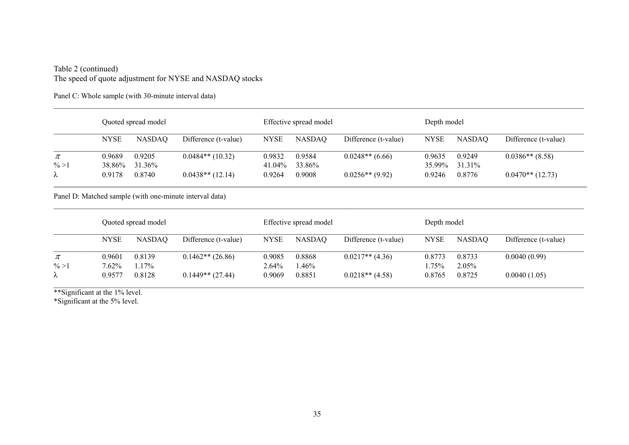### Table 2 (continued) The speed of quote adjustment for NYSE and NASDAQ stocks

#### Panel C: Whole sample (with 30-minute interval data)

|                            | Quoted spread model     |               |                      |                     | Effective spread model |                      | Depth model      |                  |                      |  |
|----------------------------|-------------------------|---------------|----------------------|---------------------|------------------------|----------------------|------------------|------------------|----------------------|--|
|                            | <b>NYSE</b>             | <b>NASDAO</b> | Difference (t-value) | NYSE                | NASDAO                 | Difference (t-value) | <b>NYSE</b>      | NASDAQ           | Difference (t-value) |  |
| $\pi$<br>$\frac{9}{6} > 1$ | 0.9689<br>38.86% 31.36% | 0.9205        | $0.0484**$ (10.32)   | 0.9832<br>$41.04\%$ | 0.9584<br>33.86%       | $0.0248**$ (6.66)    | 0.9635<br>35.99% | 0.9249<br>31.31% | $0.0386**$ (8.58)    |  |
| ⋏                          | 0.9178                  | 0.8740        | $0.0438**$ (12.14)   | 0.9264              | 0.9008                 | $0.0256**$ (9.92)    | 0.9246           | 0.8776           | $0.0470**$ (12.73)   |  |

\_\_\_\_\_\_\_\_\_\_\_\_\_\_\_\_\_\_\_\_\_\_\_\_\_\_\_\_\_\_\_\_\_\_\_\_\_\_\_\_\_\_\_\_\_\_\_\_\_\_\_\_\_\_\_\_\_\_\_\_\_\_\_\_\_\_\_\_\_\_\_\_\_\_\_\_\_\_\_\_\_\_\_\_\_\_\_\_\_\_\_\_\_\_\_\_\_\_\_\_\_\_\_\_\_\_\_\_\_\_\_\_\_\_\_\_\_\_\_\_\_\_\_\_\_\_\_\_\_\_\_\_\_\_\_\_\_\_\_\_\_\_

Panel D: Matched sample (with one-minute interval data)

| Quoted spread model        |                    |                    |                      | Effective spread model |                    | Depth model          |                   |                 |                      |
|----------------------------|--------------------|--------------------|----------------------|------------------------|--------------------|----------------------|-------------------|-----------------|----------------------|
|                            | <b>NYSE</b>        | <b>NASDAO</b>      | Difference (t-value) | <b>NYSE</b>            | <b>NASDAO</b>      | Difference (t-value) | <b>NYSE</b>       | NASDAO          | Difference (t-value) |
| $\pi$<br>$\frac{9}{6} > 1$ | 0.9601<br>$7.62\%$ | 0.8139<br>$1.17\%$ | $0.1462**$ (26.86)   | 0.9085<br>2.64%        | 0.8868<br>$1.46\%$ | $0.0217**$ (4.36)    | 0.8773<br>$.75\%$ | 0.8733<br>2.05% | 0.0040(0.99)         |
| ⋏                          | 0.9577             | 0.8128             | $0.1449**$ (27.44)   | 0.9069                 | 0.8851             | $0.0218**$ (4.58)    | 0.8765            | 0.8725          | 0.0040(1.05)         |

\_\_\_\_\_\_\_\_\_\_\_\_\_\_\_\_\_\_\_\_\_\_\_\_\_\_\_\_\_\_\_\_\_\_\_\_\_\_\_\_\_\_\_\_\_\_\_\_\_\_\_\_\_\_\_\_\_\_\_\_\_\_\_\_\_\_\_\_\_\_\_\_\_\_\_\_\_\_\_\_\_\_\_\_\_\_\_\_\_\_\_\_\_\_\_\_\_\_\_\_\_\_\_\_\_\_\_\_\_\_\_\_\_\_\_\_\_\_\_\_\_\_\_\_\_\_\_\_\_\_\_\_\_\_\_\_\_\_\_\_\_\_

\*\*Significant at the 1% level.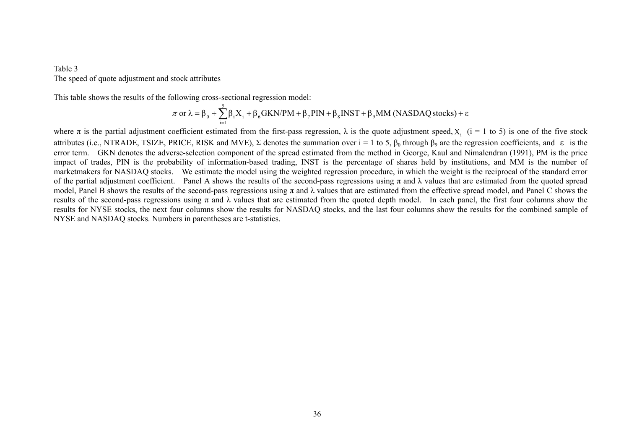#### Table 3 The speed of quote adjustment and stock attributes

This table shows the results of the following cross-sectional regression model:

$$
\pi \text{ or } \lambda = \beta_0 + \sum_{i=1}^{5} \beta_i X_i + \beta_6 GKN/PM + \beta_7 PIN + \beta_8 INST + \beta_9 MM (NASDAQ stocks) + \epsilon
$$

where  $\pi$  is the partial adjustment coefficient estimated from the first-pass regression,  $\lambda$  is the quote adjustment speed, X<sub>i</sub> (i = 1 to 5) is one of the five stock attributes (i.e., NTRADE, TSIZE, PRICE, RISK and MVE), Σ denotes the summation over  $i = 1$  to 5,  $β_0$  through  $β_9$  are the regression coefficients, and ε is the error term. GKN denotes the adverse-selection component of the spread estimated from the method in George, Kaul and Nimalendran (1991), PM is the price impact of trades, PIN is the probability of information-based trading, INST is the percentage of shares held by institutions, and MM is the number of marketmakers for NASDAQ stocks. We estimate the model using the weighted regression procedure, in which the weight is the reciprocal of the standard error of the partial adjustment coefficient. Panel A shows the results of the second-pass regressions using  $\pi$  and  $\lambda$  values that are estimated from the quoted spread model, Panel B shows the results of the second-pass regressions using  $\pi$  and  $\lambda$  values that are estimated from the effective spread model, and Panel C shows the results of the second-pass regressions using  $\pi$  and  $\lambda$  values that are estimated from the quoted depth model. In each panel, the first four columns show the results for NYSE stocks, the next four columns show the results for NASDAQ stocks, and the last four columns show the results for the combined sample of NYSE and NASDAQ stocks. Numbers in parentheses are t-statistics.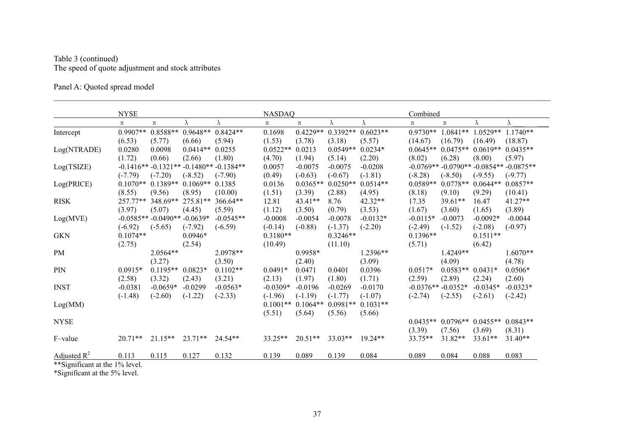#### Table 3 (continued) The speed of quote adjustment and stock attributes

# Panel A: Quoted spread model

|                | <b>NYSE</b> |                                |            |                                           | <b>NASDAQ</b> |            |            |            | Combined            |                       |            |                       |
|----------------|-------------|--------------------------------|------------|-------------------------------------------|---------------|------------|------------|------------|---------------------|-----------------------|------------|-----------------------|
|                | π           | π                              | λ          | λ                                         | π             | $\pi$      | $\lambda$  | λ          | π                   | $\pi$                 | $\lambda$  | $\lambda$             |
| Intercept      | $0.9907**$  | $0.8588**$                     | $0.9648**$ | $0.8424**$                                | 0.1698        | $0.4229**$ | $0.3392**$ | $0.6023**$ | $0.9730**$          | $1.0841**$            | $1.0529**$ | $1.1740**$            |
|                | (6.53)      | (5.77)                         | (6.66)     | (5.94)                                    | (1.53)        | (3.78)     | (3.18)     | (5.57)     | (14.67)             | (16.79)               | (16.49)    | (18.87)               |
| Log(NTRADE)    | 0.0280      | 0.0098                         | $0.0414**$ | 0.0255                                    | $0.0522**$    | 0.0213     | $0.0549**$ | $0.0234*$  | $0.0645**$          | $0.0475**$            |            | $0.0619**0.0435**$    |
|                | (1.72)      | (0.66)                         | (2.66)     | (1.80)                                    | (4.70)        | (1.94)     | (5.14)     | (2.20)     | (8.02)              | (6.28)                | (8.00)     | (5.97)                |
| Log(TSIZE)     |             |                                |            | $-0.1416** -0.1321** -0.1480** -0.1384**$ | 0.0057        | $-0.0075$  | $-0.0075$  | $-0.0208$  |                     | $-0.0769** -0.0790**$ |            | $-0.0854** -0.0875**$ |
|                | $(-7.79)$   | $(-7.20)$                      | $(-8.52)$  | $(-7.90)$                                 | (0.49)        | $(-0.63)$  | $(-0.67)$  | $(-1.81)$  | $(-8.28)$           | $(-8.50)$             | $(-9.55)$  | $(-9.77)$             |
| Log(PRICE)     | $0.1070**$  | $0.1389**$                     | $0.1069**$ | 0.1385                                    | 0.0136        | $0.0365**$ | $0.0250**$ | $0.0514**$ | $0.0589**$          | $0.0778**$            | $0.0644**$ | $0.0857**$            |
|                | (8.55)      | (9.56)                         | (8.95)     | (10.00)                                   | (1.51)        | (3.39)     | (2.88)     | (4.95)     | (8.18)              | (9.10)                | (9.29)     | (10.41)               |
| <b>RISK</b>    | $257.77**$  | 348.69**                       | $275.81**$ | $366.64**$                                | 12.81         | $43.41**$  | 8.76       | $42.32**$  | 17.35               | $39.61**$             | 16.47      | $41.27**$             |
|                | (3.97)      | (5.07)                         | (4.45)     | (5.59)                                    | (1.12)        | (3.50)     | (0.79)     | (3.53)     | (1.67)              | (3.60)                | (1.65)     | (3.89)                |
| Log(MVE)       |             | $-0.0585** -0.0490** -0.0639*$ |            | $-0.0545**$                               | $-0.0008$     | $-0.0054$  | $-0.0078$  | $-0.0132*$ | $-0.0115*$          | $-0.0073$             | $-0.0092*$ | $-0.0044$             |
|                | $(-6.92)$   | $(-5.65)$                      | $(-7.92)$  | $(-6.59)$                                 | $(-0.14)$     | $(-0.88)$  | $(-1.37)$  | $(-2.20)$  | $(-2.49)$           | $(-1.52)$             | $(-2.08)$  | $(-0.97)$             |
| <b>GKN</b>     | $0.1074**$  |                                | $0.0946*$  |                                           | $0.3180**$    |            | $0.3246**$ |            | $0.1396**$          |                       | $0.1511**$ |                       |
|                | (2.75)      |                                | (2.54)     |                                           | (10.49)       |            | (11.10)    |            | (5.71)              |                       | (6.42)     |                       |
| PM             |             | $2.0564**$                     |            | $2.0978**$                                |               | $0.9958*$  |            | $1.2396**$ |                     | $1.4249**$            |            | $1.6070**$            |
|                |             | (3.27)                         |            | (3.50)                                    |               | (2.40)     |            | (3.09)     |                     | (4.09)                |            | (4.78)                |
| PIN            | $0.0915*$   | $0.1195**$                     | $0.0823*$  | $0.1102**$                                | $0.0491*$     | 0.0471     | 0.0401     | 0.0396     | $0.0517*$           | $0.0583**$            | $0.0431*$  | $0.0506*$             |
|                | (2.58)      | (3.32)                         | (2.43)     | (3.21)                                    | (2.13)        | (1.97)     | (1.80)     | (1.71)     | (2.59)              | (2.89)                | (2.24)     | (2.60)                |
| <b>INST</b>    | $-0.0381$   | $-0.0659*$                     | $-0.0299$  | $-0.0563*$                                | $-0.0309*$    | $-0.0196$  | $-0.0269$  | $-0.0170$  | $-0.0376**-0.0352*$ |                       | $-0.0345*$ | $-0.0323*$            |
|                | $(-1.48)$   | $(-2.60)$                      | $(-1.22)$  | $(-2.33)$                                 | $(-1.96)$     | $(-1.19)$  | $(-1.77)$  | $(-1.07)$  | $(-2.74)$           | $(-2.55)$             | $(-2.61)$  | $(-2.42)$             |
| Log(MM)        |             |                                |            |                                           | $0.1001**$    | $0.1064**$ | $0.0981**$ | $0.1031**$ |                     |                       |            |                       |
|                |             |                                |            |                                           | (5.51)        | (5.64)     | (5.56)     | (5.66)     |                     |                       |            |                       |
| <b>NYSE</b>    |             |                                |            |                                           |               |            |            |            | $0.0435**$          | $0.0796**$            | $0.0455**$ | $0.0843**$            |
|                |             |                                |            |                                           |               |            |            |            | (3.39)              | (7.56)                | (3.69)     | (8.31)                |
| F-value        | $20.71**$   | $21.15**$                      | $23.71**$  | $24.54**$                                 | $33.25**$     | $20.51**$  | $33.03**$  | $19.24**$  | 33.75**             | 31.82**               | $33.61**$  | $31.40**$             |
| Adjusted $R^2$ | 0.113       | 0.115                          | 0.127      | 0.132                                     | 0.139         | 0.089      | 0.139      | 0.084      | 0.089               | 0.084                 | 0.088      | 0.083                 |

\_\_\_\_\_\_\_\_\_\_\_\_\_\_\_\_\_\_\_\_\_\_\_\_\_\_\_\_\_\_\_\_\_\_\_\_\_\_\_\_\_\_\_\_\_\_\_\_\_\_\_\_\_\_\_\_\_\_\_\_\_\_\_\_\_\_\_\_\_\_\_\_\_\_\_\_\_\_\_\_\_\_\_\_\_\_\_\_\_\_\_\_\_\_\_\_\_\_\_\_\_\_\_\_\_\_\_\_\_\_\_\_\_\_\_\_\_\_\_\_\_

\*\*Significant at the 1% level.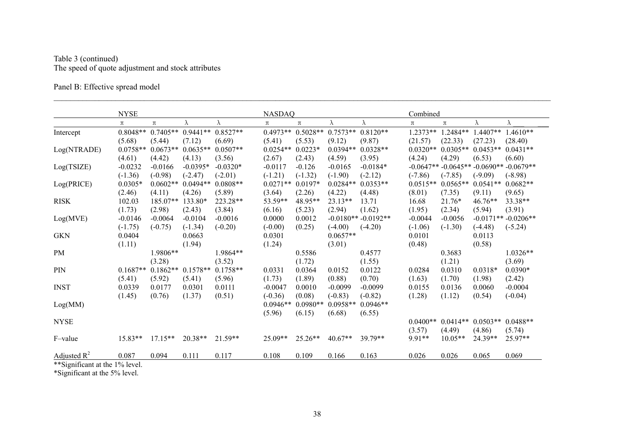#### Table 3 (continued) The speed of quote adjustment and stock attributes

# Panel B: Effective spread model

|                | <b>NYSE</b> |            |            |            | <b>NASDAO</b> |            |            |                       | Combined    |             |            |                       |
|----------------|-------------|------------|------------|------------|---------------|------------|------------|-----------------------|-------------|-------------|------------|-----------------------|
|                | π           | $\pi$      | λ          | $\lambda$  | π             | $\pi$      | λ          | $\lambda$             | π           | $\pi$       | λ          | $\lambda$             |
| Intercept      | $0.8048**$  | $0.7405**$ | $0.9441**$ | $0.8527**$ | $0.4973**$    | $0.5028**$ | $0.7573**$ | $0.8120**$            | $1.2373**$  | $1.2484**$  | $1.4407**$ | $1.4610**$            |
|                | (5.68)      | (5.44)     | (7.12)     | (6.69)     | (5.41)        | (5.53)     | (9.12)     | (9.87)                | (21.57)     | (22.33)     | (27.23)    | (28.40)               |
| Log(NTRADE)    | $0.0758**$  | $0.0673**$ | $0.0635**$ | $0.0507**$ | $0.0254**$    | $0.0223*$  | $0.0394**$ | $0.0328**$            | $0.0320**$  | $0.0305**$  | $0.0453**$ | $0.0431**$            |
|                | (4.61)      | (4.42)     | (4.13)     | (3.56)     | (2.67)        | (2.43)     | (4.59)     | (3.95)                | (4.24)      | (4.29)      | (6.53)     | (6.60)                |
| Log(TSIZE)     | $-0.0232$   | $-0.0166$  | $-0.0395*$ | $-0.0320*$ | $-0.0117$     | $-0.126$   | $-0.0165$  | $-0.0184*$            | $-0.0647**$ | $-0.0645**$ |            | $-0.0690** -0.0679**$ |
|                | $(-1.36)$   | $(-0.98)$  | $(-2.47)$  | $(-2.01)$  | $(-1.21)$     | $(-1.32)$  | $(-1.90)$  | $(-2.12)$             | $(-7.86)$   | $(-7.85)$   | $(-9.09)$  | $(-8.98)$             |
| Log(PRICE)     | $0.0305*$   | $0.0602**$ | $0.0494**$ | $0.0808**$ | $0.0271**$    | $0.0197*$  | $0.0284**$ | $0.0353**$            | $0.0515**$  | $0.0565**$  | $0.0541**$ | $0.0682**$            |
|                | (2.46)      | (4.11)     | (4.26)     | (5.89)     | (3.64)        | (2.26)     | (4.22)     | (4.48)                | (8.01)      | (7.35)      | (9.11)     | (9.65)                |
| <b>RISK</b>    | 102.03      | $185.07**$ | 133.80*    | 223.28**   | 53.59**       | 48.95**    | $23.13**$  | 13.71                 | 16.68       | $21.76*$    | $46.76**$  | 33.38**               |
|                | (1.73)      | (2.98)     | (2.43)     | (3.84)     | (6.16)        | (5.23)     | (2.94)     | (1.62)                | (1.95)      | (2.34)      | (5.94)     | (3.91)                |
| Log(MVE)       | $-0.0146$   | $-0.0064$  | $-0.0104$  | $-0.0016$  | 0.0000        | 0.0012     |            | $-0.0180** -0.0192**$ | $-0.0044$   | $-0.0056$   |            | $-0.0171** -0.0206**$ |
|                | $(-1.75)$   | $(-0.75)$  | $(-1.34)$  | $(-0.20)$  | $(-0.00)$     | (0.25)     | $(-4.00)$  | $(-4.20)$             | $(-1.06)$   | $(-1.30)$   | $(-4.48)$  | $(-5.24)$             |
| <b>GKN</b>     | 0.0404      |            | 0.0663     |            | 0.0301        |            | $0.0657**$ |                       | 0.0101      |             | 0.0113     |                       |
|                | (1.11)      |            | (1.94)     |            | (1.24)        |            | (3.01)     |                       | (0.48)      |             | (0.58)     |                       |
| PM             |             | 1.9806**   |            | $1.9864**$ |               | 0.5586     |            | 0.4577                |             | 0.3683      |            | $1.0326**$            |
|                |             | (3.28)     |            | (3.52)     |               | (1.72)     |            | (1.55)                |             | (1.21)      |            | (3.69)                |
| <b>PIN</b>     | $0.1687**$  | $0.1862**$ | $0.1578**$ | $0.1758**$ | 0.0331        | 0.0364     | 0.0152     | 0.0122                | 0.0284      | 0.0310      | $0.0318*$  | $0.0390*$             |
|                | (5.41)      | (5.92)     | (5.41)     | (5.96)     | (1.73)        | (1.89)     | (0.88)     | (0.70)                | (1.63)      | (1.70)      | (1.98)     | (2.42)                |
| <b>INST</b>    | 0.0339      | 0.0177     | 0.0301     | 0.0111     | $-0.0047$     | 0.0010     | $-0.0099$  | $-0.0099$             | 0.0155      | 0.0136      | 0.0060     | $-0.0004$             |
|                | (1.45)      | (0.76)     | (1.37)     | (0.51)     | $(-0.36)$     | (0.08)     | $(-0.83)$  | $(-0.82)$             | (1.28)      | (1.12)      | (0.54)     | $(-0.04)$             |
| Log(MM)        |             |            |            |            | $0.0946**$    | $0.0980**$ | $0.0958**$ | $0.0946**$            |             |             |            |                       |
|                |             |            |            |            | (5.96)        | (6.15)     | (6.68)     | (6.55)                |             |             |            |                       |
| <b>NYSE</b>    |             |            |            |            |               |            |            |                       | $0.0400**$  | $0.0414**$  | $0.0503**$ | $0.0488**$            |
|                |             |            |            |            |               |            |            |                       | (3.57)      | (4.49)      | (4.86)     | (5.74)                |
| F-value        | $15.83**$   | $17.15**$  | $20.38**$  | $21.59**$  | $25.09**$     | $25.26**$  | $40.67**$  | 39.79**               | $9.91**$    | $10.05**$   | 24.39**    | $25.97**$             |
| Adjusted $R^2$ | 0.087       | 0.094      | 0.111      | 0.117      | 0.108         | 0.109      | 0.166      | 0.163                 | 0.026       | 0.026       | 0.065      | 0.069                 |

\_\_\_\_\_\_\_\_\_\_\_\_\_\_\_\_\_\_\_\_\_\_\_\_\_\_\_\_\_\_\_\_\_\_\_\_\_\_\_\_\_\_\_\_\_\_\_\_\_\_\_\_\_\_\_\_\_\_\_\_\_\_\_\_\_\_\_\_\_\_\_\_\_\_\_\_\_\_\_\_\_\_\_\_\_\_\_\_\_\_\_\_\_\_\_\_\_\_\_\_\_\_\_\_\_\_\_\_\_\_\_\_\_\_\_\_\_\_\_\_\_

\*\*Significant at the 1% level.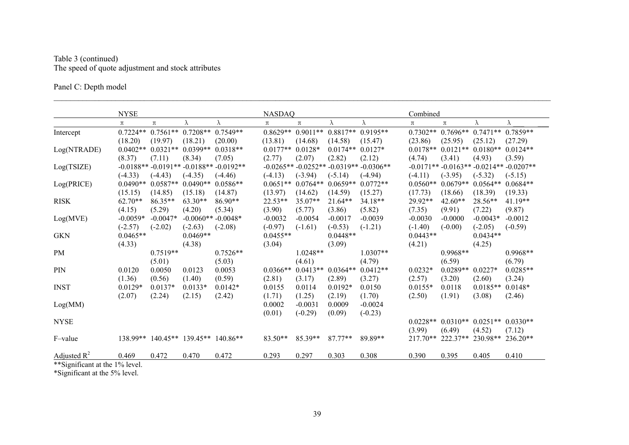#### Table 3 (continued) The speed of quote adjustment and stock attributes

# Panel C: Depth model

|                | <b>NYSE</b> |            | <b>NASDAQ</b>        |                                           |             |             | Combined            |                       |            |            |                     |                                           |
|----------------|-------------|------------|----------------------|-------------------------------------------|-------------|-------------|---------------------|-----------------------|------------|------------|---------------------|-------------------------------------------|
|                | π           | $\pi$      | $\lambda$            | λ                                         | π           | $\pi$       | λ                   | $\lambda$             | π          | $\pi$      | λ                   | λ                                         |
| Intercept      | $0.7224**$  | $0.7561**$ | $0.7208**$           | $0.7549**$                                | $0.8629**$  | $0.9011**$  | $0.8817**$ 0.9195** |                       | $0.7302**$ | $0.7696**$ | $0.7471**$ 0.7859** |                                           |
|                | (18.20)     | (19.97)    | (18.21)              | (20.00)                                   | (13.81)     | (14.68)     | (14.58)             | (15.47)               | (23.86)    | (25.95)    | (25.12)             | (27.29)                                   |
| Log(NTRADE)    | $0.0402**$  | $0.0321**$ | $0.0399**$           | $0.0318**$                                | $0.0177**$  | $0.0128*$   | $0.0174**$          | $0.0127*$             | $0.0178**$ | $0.0121**$ | $0.0180**$ 0.0124** |                                           |
|                | (8.37)      | (7.11)     | (8.34)               | (7.05)                                    | (2.77)      | (2.07)      | (2.82)              | (2.12)                | (4.74)     | (3.41)     | (4.93)              | (3.59)                                    |
| Log(TSIZE)     |             |            |                      | $-0.0188** -0.0191** -0.0188** -0.0192**$ | $-0.0265**$ | $-0.0252**$ |                     | $-0.0319** -0.0306**$ |            |            |                     | $-0.0171** -0.0163** -0.0214** -0.0207**$ |
|                | $(-4.33)$   | $(-4.43)$  | $(-4.35)$            | $(-4.46)$                                 | $(-4.13)$   | $(-3.94)$   | $(-5.14)$           | $(-4.94)$             | $(-4.11)$  | $(-3.95)$  | $(-5.32)$           | $(-5.15)$                                 |
| Log(PRICE)     | $0.0490**$  | $0.0587**$ | $0.0490**$           | $0.0586**$                                | $0.0651**$  | $0.0764**$  | $0.0659**$          | $0.0772**$            | $0.0560**$ | $0.0679**$ | $0.0564**$ 0.0684** |                                           |
|                | (15.15)     | (14.85)    | (15.18)              | (14.87)                                   | (13.97)     | (14.62)     | (14.59)             | (15.27)               | (17.73)    | (18.66)    | (18.39)             | (19.33)                                   |
| <b>RISK</b>    | $62.70**$   | $86.35**$  | $63.30**$            | $86.90**$                                 | $22.53**$   | $35.07**$   | $21.64**$           | $34.18**$             | 29.92**    | $42.60**$  | $28.56**$           | $41.19**$                                 |
|                | (4.15)      | (5.29)     | (4.20)               | (5.34)                                    | (3.90)      | (5.77)      | (3.86)              | (5.82)                | (7.35)     | (9.91)     | (7.22)              | (9.87)                                    |
| Log(MVE)       | $-0.0059*$  | $-0.0047*$ | $-0.0060** -0.0048*$ |                                           | $-0.0032$   | $-0.0054$   | $-0.0017$           | $-0.0039$             | $-0.0030$  | $-0.0000$  | $-0.0043*$          | $-0.0012$                                 |
|                | $(-2.57)$   | $(-2.02)$  | $(-2.63)$            | $(-2.08)$                                 | $(-0.97)$   | $(-1.61)$   | $(-0.53)$           | $(-1.21)$             | $(-1.40)$  | $(-0.00)$  | $(-2.05)$           | $(-0.59)$                                 |
| <b>GKN</b>     | $0.0465**$  |            | $0.0469**$           |                                           | $0.0455**$  |             | $0.0448**$          |                       | $0.0443**$ |            | $0.0434**$          |                                           |
|                | (4.33)      |            | (4.38)               |                                           | (3.04)      |             | (3.09)              |                       | (4.21)     |            | (4.25)              |                                           |
| PM             |             | $0.7519**$ |                      | $0.7526**$                                |             | $1.0248**$  |                     | $1.0307**$            |            | $0.9968**$ |                     | $0.9968**$                                |
|                |             | (5.01)     |                      | (5.03)                                    |             | (4.61)      |                     | (4.79)                |            | (6.59)     |                     | (6.79)                                    |
| <b>PIN</b>     | 0.0120      | 0.0050     | 0.0123               | 0.0053                                    | $0.0366**$  | $0.0413**$  | $0.0364**$          | $0.0412**$            | $0.0232*$  | $0.0289**$ | $0.0227*$           | $0.0285**$                                |
|                | (1.36)      | (0.56)     | (1.40)               | (0.59)                                    | (2.81)      | (3.17)      | (2.89)              | (3.27)                | (2.57)     | (3.20)     | (2.60)              | (3.24)                                    |
| <b>INST</b>    | $0.0129*$   | $0.0137*$  | $0.0133*$            | $0.0142*$                                 | 0.0155      | 0.0114      | $0.0192*$           | 0.0150                | $0.0155*$  | 0.0118     | $0.0185**$          | $0.0148*$                                 |
|                | (2.07)      | (2.24)     | (2.15)               | (2.42)                                    | (1.71)      | (1.25)      | (2.19)              | (1.70)                | (2.50)     | (1.91)     | (3.08)              | (2.46)                                    |
| Log(MM)        |             |            |                      |                                           | 0.0002      | $-0.0031$   | 0.0009              | $-0.0024$             |            |            |                     |                                           |
|                |             |            |                      |                                           | (0.01)      | $(-0.29)$   | (0.09)              | $(-0.23)$             |            |            |                     |                                           |
| <b>NYSE</b>    |             |            |                      |                                           |             |             |                     |                       | $0.0228**$ | $0.0310**$ | $0.0251**0.0330**$  |                                           |
|                |             |            |                      |                                           |             |             |                     |                       | (3.99)     | (6.49)     | (4.52)              | (7.12)                                    |
| F-value        | 138.99**    | $140.45**$ | $139.45**$ 140.86**  |                                           | 83.50**     | 85.39**     | $87.77**$           | 89 89**               | $217.70**$ | $222.37**$ | 230.98** 236.20**   |                                           |
| Adjusted $R^2$ | 0.469       | 0.472      | 0.470                | 0.472                                     | 0.293       | 0.297       | 0.303               | 0.308                 | 0.390      | 0.395      | 0.405               | 0.410                                     |

\_\_\_\_\_\_\_\_\_\_\_\_\_\_\_\_\_\_\_\_\_\_\_\_\_\_\_\_\_\_\_\_\_\_\_\_\_\_\_\_\_\_\_\_\_\_\_\_\_\_\_\_\_\_\_\_\_\_\_\_\_\_\_\_\_\_\_\_\_\_\_\_\_\_\_\_\_\_\_\_\_\_\_\_\_\_\_\_\_\_\_\_\_\_\_\_\_\_\_\_\_\_\_\_\_\_\_\_\_\_\_\_\_\_\_\_\_\_\_\_\_

\*\*Significant at the 1% level.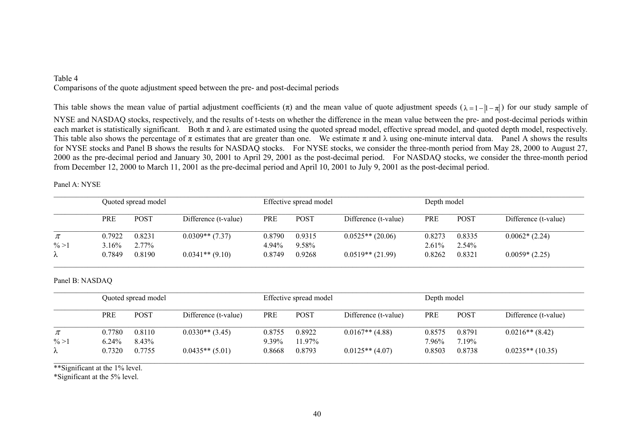#### Table 4

Comparisons of the quote adjustment speed between the pre- and post-decimal periods

This table shows the mean value of partial adjustment coefficients  $(\pi)$  and the mean value of quote adjustment speeds  $(\lambda = 1 - |1 - \pi|)$  for our study sample of NYSE and NASDAQ stocks, respectively, and the results of t-tests on whether the difference in the mean value between the pre- and post-decimal periods within each market is statistically significant. Both  $\pi$  and  $\lambda$  are estimated using the quoted spread model, effective spread model, and quoted depth model, respectively. This table also shows the percentage of  $\pi$  estimates that are greater than one. We estimate  $\pi$  and  $\lambda$  using one-minute interval data. Panel A shows the results for NYSE stocks and Panel B shows the results for NASDAQ stocks. For NYSE stocks, we consider the three-month period from May 28, 2000 to August 27, 2000 as the pre-decimal period and January 30, 2001 to April 29, 2001 as the post-decimal period. For NASDAQ stocks, we consider the three-month period from December 12, 2000 to March 11, 2001 as the pre-decimal period and April 10, 2001 to July 9, 2001 as the post-decimal period.

Panel A: NYSE

|                   |                    | Quoted spread model |                      |                 | Effective spread model |                      | Depth model        |                 |                      |  |
|-------------------|--------------------|---------------------|----------------------|-----------------|------------------------|----------------------|--------------------|-----------------|----------------------|--|
|                   | <b>PRE</b>         | <b>POST</b>         | Difference (t-value) | <b>PRE</b>      | <b>POST</b>            | Difference (t-value) | PRE                | <b>POST</b>     | Difference (t-value) |  |
| $\pi$<br>$\% > 1$ | 0.7922<br>$3.16\%$ | 0.8231<br>2.77%     | $0.0309**$ (7.37)    | 0.8790<br>4.94% | 0.9315<br>9.58%        | $0.0525**$ (20.06)   | 0.8273<br>$2.61\%$ | 0.8335<br>2.54% | $0.0062*(2.24)$      |  |
| ∼                 | 0.7849             | 0.8190              | $0.0341**$ (9.10)    | 0.8749          | 0.9268                 | $0.0519**$ (21.99)   | 0.8262             | 0.8321          | $0.0059*(2.25)$      |  |

#### Panel B: NASDAQ

|                   |                    | Quoted spread model |                      |                 | Effective spread model |                      | Depth model     |                 |                      |  |
|-------------------|--------------------|---------------------|----------------------|-----------------|------------------------|----------------------|-----------------|-----------------|----------------------|--|
|                   | PRE                | <b>POST</b>         | Difference (t-value) | PRE             | <b>POST</b>            | Difference (t-value) | <b>PRE</b>      | <b>POST</b>     | Difference (t-value) |  |
| $\pi$             | 0.7780             | 0.8110              | $0.0330**$ (3.45)    | 0.8755          | 0.8922                 | $0.0167**$ (4.88)    | 0.8575          | 0.8791          | $0.0216**$ (8.42)    |  |
| $\frac{9}{0} > 1$ | $6.24\%$<br>0.7320 | 8.43%<br>0.7755     | $0.0435**$ (5.01)    | 9.39%<br>0.8668 | $11.97\%$<br>0.8793    | $0.0125**$ (4.07)    | 7.96%<br>0.8503 | 7.19%<br>0.8738 | $0.0235**$ (10.35)   |  |

\_\_\_\_\_\_\_\_\_\_\_\_\_\_\_\_\_\_\_\_\_\_\_\_\_\_\_\_\_\_\_\_\_\_\_\_\_\_\_\_\_\_\_\_\_\_\_\_\_\_\_\_\_\_\_\_\_\_\_\_\_\_\_\_\_\_\_\_\_\_\_\_\_\_\_\_\_\_\_\_\_\_\_\_\_\_\_\_\_\_\_\_\_\_\_\_\_\_\_\_\_\_\_\_\_\_\_\_\_\_\_\_\_\_\_\_\_\_\_\_\_\_\_\_\_\_\_\_\_\_\_\_\_\_\_\_\_\_\_\_\_\_ \*\*Significant at the 1% level.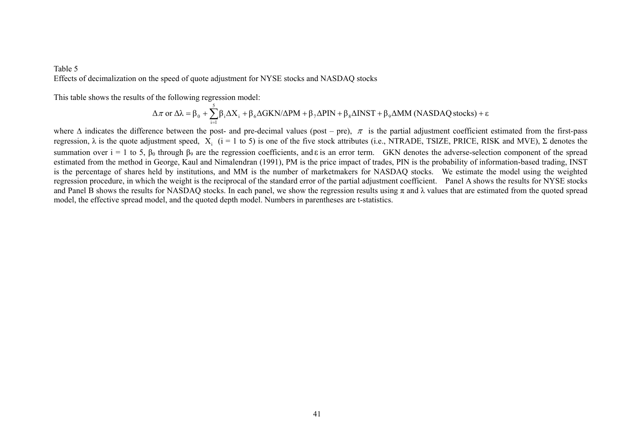#### Table 5 Effects of decimalization on the speed of quote adjustment for NYSE stocks and NASDAQ stocks

This table shows the results of the following regression model:

$$
\Delta \pi \text{ or } \Delta \lambda = \beta_0 + \sum_{i=1}^{5} \beta_i \Delta X_i + \beta_6 \Delta GKN/\Delta PM + \beta_7 \Delta PIN + \beta_8 \Delta INST + \beta_9 \Delta MM \text{ (NASDAQ stocks)} + \epsilon
$$

where  $\Delta$  indicates the difference between the post- and pre-decimal values (post – pre),  $\pi$  is the partial adjustment coefficient estimated from the first-pass regression, λ is the quote adjustment speed,  $X_i$  (i = 1 to 5) is one of the five stock attributes (i.e., NTRADE, TSIZE, PRICE, RISK and MVE), Σ denotes the summation over i = 1 to 5,  $\beta_0$  through  $\beta_9$  are the regression coefficients, and  $\varepsilon$  is an error term. GKN denotes the adverse-selection component of the spread estimated from the method in George, Kaul and Nimalendran (1991), PM is the price impact of trades, PIN is the probability of information-based trading, INST is the percentage of shares held by institutions, and MM is the number of marketmakers for NASDAQ stocks. We estimate the model using the weighted regression procedure, in which the weight is the reciprocal of the standard error of the partial adjustment coefficient. Panel A shows the results for NYSE stocks and Panel B shows the results for NASDAQ stocks. In each panel, we show the regression results using  $\pi$  and  $\lambda$  values that are estimated from the quoted spread model, the effective spread model, and the quoted depth model. Numbers in parentheses are t-statistics.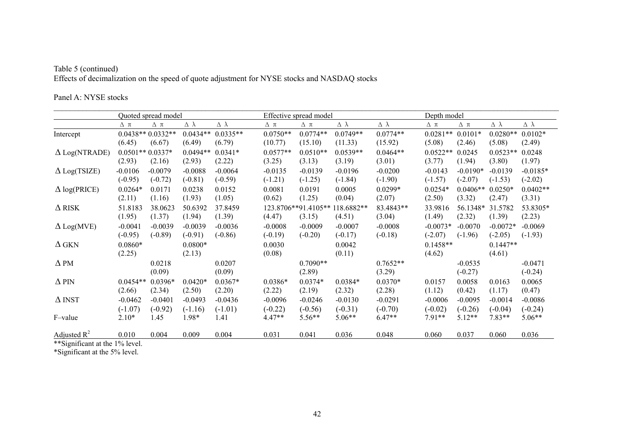# Table 5 (continued) Effects of decimalization on the speed of quote adjustment for NYSE stocks and NASDAQ stocks

#### Panel A: NYSE stocks

|                                | Quoted spread model |                    |                    |                    | Effective spread model | Depth model         |                    |                    |                |                |                    |                    |
|--------------------------------|---------------------|--------------------|--------------------|--------------------|------------------------|---------------------|--------------------|--------------------|----------------|----------------|--------------------|--------------------|
|                                | Δπ                  | $\Delta~$ $\pi$    | $\Delta$ $\lambda$ | $\Delta$ $\lambda$ | $\Delta$ $\pi$         | $\Delta$ $\pi$      | $\Delta$ $\lambda$ | $\Delta$ $\lambda$ | $\Delta$ $\pi$ | $\Delta$ $\pi$ | $\Delta$ $\lambda$ | $\Delta$ $\lambda$ |
| Intercept                      |                     | $0.0438**0.0332**$ | $0.0434**$         | $0.0335**$         | $0.0750**$             | $0.0774**$          | $0.0749**$         | $0.0774**$         | $0.0281**$     | $0.0101*$      | $0.0280**$         | $0.0102*$          |
|                                | (6.45)              | (6.67)             | (6.49)             | (6.79)             | (10.77)                | (15.10)             | (11.33)            | (15.92)            | (5.08)         | (2.46)         | (5.08)             | (2.49)             |
| $\Delta$ Log(NTRADE)           | $0.0501**0.0337*$   |                    | $0.0494**$         | $0.0341*$          | $0.0577**$             | $0.0510**$          | $0.0539**$         | $0.0464**$         | $0.0522**$     | 0.0245         | $0.0523**$         | 0.0248             |
|                                | (2.93)              | (2.16)             | (2.93)             | (2.22)             | (3.25)                 | (3.13)              | (3.19)             | (3.01)             | (3.77)         | (1.94)         | (3.80)             | (1.97)             |
| $\Delta$ Log(TSIZE)            | $-0.0106$           | $-0.0079$          | $-0.0088$          | $-0.0064$          | $-0.0135$              | $-0.0139$           | $-0.0196$          | $-0.0200$          | $-0.0143$      | $-0.0190*$     | $-0.0139$          | $-0.0185*$         |
|                                | $(-0.95)$           | $(-0.72)$          | $(-0.81)$          | $(-0.59)$          | $(-1.21)$              | $(-1.25)$           | $(-1.84)$          | $(-1.90)$          | $(-1.57)$      | $(-2.07)$      | $(-1.53)$          | $(-2.02)$          |
| $\Delta$ log(PRICE)            | $0.0264*$           | 0.0171             | 0.0238             | 0.0152             | 0.0081                 | 0.0191              | 0.0005             | $0.0299*$          | $0.0254*$      | $0.0406**$     | $0.0250*$          | $0.0402**$         |
|                                | (2.11)              | (1.16)             | (1.93)             | (1.05)             | (0.62)                 | (1.25)              | (0.04)             | (2.07)             | (2.50)         | (3.32)         | (2.47)             | (3.31)             |
| $\Delta$ RISK                  | 51.8183             | 38.0623            | 50.6392            | 37.8459            |                        | 123.8706**91.4105** | 118.6882**         | 83.4843**          | 33.9816        | 56.1348*       | 31.5782            | 53.8305*           |
|                                | (1.95)              | (1.37)             | (1.94)             | (1.39)             | (4.47)                 | (3.15)              | (4.51)             | (3.04)             | (1.49)         | (2.32)         | (1.39)             | (2.23)             |
| $\Delta$ Log(MVE)              | $-0.0041$           | $-0.0039$          | $-0.0039$          | $-0.0036$          | $-0.0008$              | $-0.0009$           | $-0.0007$          | $-0.0008$          | $-0.0073*$     | $-0.0070$      | $-0.0072*$         | $-0.0069$          |
|                                | $(-0.95)$           | $(-0.89)$          | $(-0.91)$          | $(-0.86)$          | $(-0.19)$              | $(-0.20)$           | $(-0.17)$          | $(-0.18)$          | $(-2.07)$      | $(-1.96)$      | $(-2.05)$          | $(-1.93)$          |
| $\Delta$ GKN                   | $0.0860*$           |                    | $0.0800*$          |                    | 0.0030                 |                     | 0.0042             |                    | $0.1458**$     |                | $0.1447**$         |                    |
|                                | (2.25)              |                    | (2.13)             |                    | (0.08)                 |                     | (0.11)             |                    | (4.62)         |                | (4.61)             |                    |
| $\Delta$ PM                    |                     | 0.0218             |                    | 0.0207             |                        | $0.7090**$          |                    | $0.7652**$         |                | $-0.0535$      |                    | $-0.0471$          |
|                                |                     | (0.09)             |                    | (0.09)             |                        | (2.89)              |                    | (3.29)             |                | $(-0.27)$      |                    | $(-0.24)$          |
| $\Delta$ PIN                   | $0.0454**$          | 0.0396*            | $0.0420*$          | $0.0367*$          | $0.0386*$              | $0.0374*$           | $0.0384*$          | $0.0370*$          | 0.0157         | 0.0058         | 0.0163             | 0.0065             |
|                                | (2.66)              | (2.34)             | (2.50)             | (2.20)             | (2.22)                 | (2.19)              | (2.32)             | (2.28)             | (1.12)         | (0.42)         | (1.17)             | (0.47)             |
| $\Delta$ INST                  | $-0.0462$           | $-0.0401$          | $-0.0493$          | $-0.0436$          | $-0.0096$              | $-0.0246$           | $-0.0130$          | $-0.0291$          | $-0.0006$      | $-0.0095$      | $-0.0014$          | $-0.0086$          |
|                                | $(-1.07)$           | $(-0.92)$          | $(-1.16)$          | $(-1.01)$          | $(-0.22)$              | $(-0.56)$           | $(-0.31)$          | $(-0.70)$          | $(-0.02)$      | $(-0.26)$      | $(-0.04)$          | $(-0.24)$          |
| F-value                        | $2.10*$             | 1.45               | 1.98*              | 1.41               | 4.47**                 | $5.56**$            | $5.06**$           | $6.47**$           | $7.91**$       | $5.12**$       | $7.83**$           | $5.06**$           |
| Adjusted $R^2$                 | 0.010               | 0.004              | 0.009              | 0.004              | 0.031                  | 0.041               | 0.036              | 0.048              | 0.060          | 0.037          | 0.060              | 0.036              |
| **Significant at the 1% level. |                     |                    |                    |                    |                        |                     |                    |                    |                |                |                    |                    |